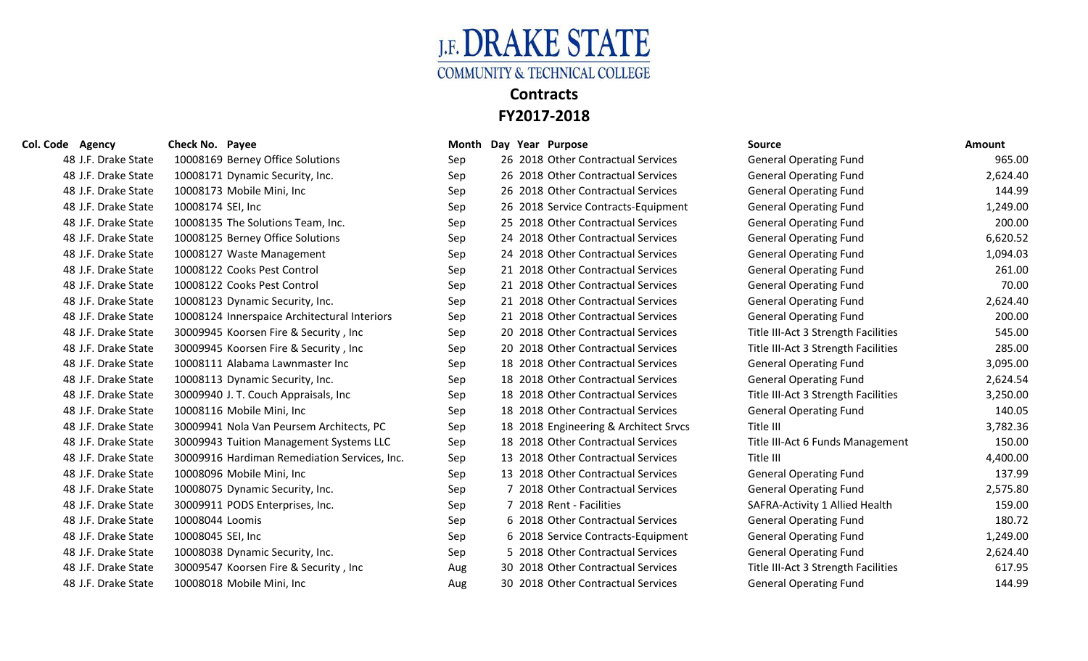

| Col. Code Agency    | Check No. Payee                              |     | Month Day Year Purpose |                                       | <b>Source</b>                       | <b>Amount</b> |
|---------------------|----------------------------------------------|-----|------------------------|---------------------------------------|-------------------------------------|---------------|
| 48 J.F. Drake State | 10008169 Berney Office Solutions             | Sep |                        | 26 2018 Other Contractual Services    | <b>General Operating Fund</b>       | 965.00        |
| 48 J.F. Drake State | 10008171 Dynamic Security, Inc.              | Sep |                        | 26 2018 Other Contractual Services    | <b>General Operating Fund</b>       | 2,624.40      |
| 48 J.F. Drake State | 10008173 Mobile Mini, Inc                    | Sep |                        | 26 2018 Other Contractual Services    | <b>General Operating Fund</b>       | 144.99        |
| 48 J.F. Drake State | 10008174 SEI, Inc                            | Sep |                        | 26 2018 Service Contracts-Equipment   | <b>General Operating Fund</b>       | 1,249.00      |
| 48 J.F. Drake State | 10008135 The Solutions Team, Inc.            | Sep |                        | 25 2018 Other Contractual Services    | <b>General Operating Fund</b>       | 200.00        |
| 48 J.F. Drake State | 10008125 Berney Office Solutions             | Sep |                        | 24 2018 Other Contractual Services    | <b>General Operating Fund</b>       | 6,620.52      |
| 48 J.F. Drake State | 10008127 Waste Management                    | Sep |                        | 24 2018 Other Contractual Services    | <b>General Operating Fund</b>       | 1,094.03      |
| 48 J.F. Drake State | 10008122 Cooks Pest Control                  | Sep |                        | 21 2018 Other Contractual Services    | <b>General Operating Fund</b>       | 261.00        |
| 48 J.F. Drake State | 10008122 Cooks Pest Control                  | Sep |                        | 21 2018 Other Contractual Services    | <b>General Operating Fund</b>       | 70.00         |
| 48 J.F. Drake State | 10008123 Dynamic Security, Inc.              | Sep |                        | 21 2018 Other Contractual Services    | <b>General Operating Fund</b>       | 2,624.40      |
| 48 J.F. Drake State | 10008124 Innerspaice Architectural Interiors | Sep |                        | 21 2018 Other Contractual Services    | <b>General Operating Fund</b>       | 200.00        |
| 48 J.F. Drake State | 30009945 Koorsen Fire & Security, Inc.       | Sep |                        | 20 2018 Other Contractual Services    | Title III-Act 3 Strength Facilities | 545.00        |
| 48 J.F. Drake State | 30009945 Koorsen Fire & Security, Inc.       | Sep |                        | 20 2018 Other Contractual Services    | Title III-Act 3 Strength Facilities | 285.00        |
| 48 J.F. Drake State | 10008111 Alabama Lawnmaster Inc              | Sep |                        | 18 2018 Other Contractual Services    | <b>General Operating Fund</b>       | 3,095.00      |
| 48 J.F. Drake State | 10008113 Dynamic Security, Inc.              | Sep |                        | 18 2018 Other Contractual Services    | <b>General Operating Fund</b>       | 2,624.54      |
| 48 J.F. Drake State | 30009940 J. T. Couch Appraisals, Inc         | Sep |                        | 18 2018 Other Contractual Services    | Title III-Act 3 Strength Facilities | 3,250.00      |
| 48 J.F. Drake State | 10008116 Mobile Mini, Inc                    | Sep |                        | 18 2018 Other Contractual Services    | <b>General Operating Fund</b>       | 140.05        |
| 48 J.F. Drake State | 30009941 Nola Van Peursem Architects, PC     | Sep |                        | 18 2018 Engineering & Architect Srvcs | Title III                           | 3,782.36      |
| 48 J.F. Drake State | 30009943 Tuition Management Systems LLC      | Sep |                        | 18 2018 Other Contractual Services    | Title III-Act 6 Funds Management    | 150.00        |
| 48 J.F. Drake State | 30009916 Hardiman Remediation Services, Inc. | Sep |                        | 13 2018 Other Contractual Services    | Title III                           | 4,400.00      |
| 48 J.F. Drake State | 10008096 Mobile Mini, Inc                    | Sep |                        | 13 2018 Other Contractual Services    | <b>General Operating Fund</b>       | 137.99        |
| 48 J.F. Drake State | 10008075 Dynamic Security, Inc.              | Sep |                        | 7 2018 Other Contractual Services     | <b>General Operating Fund</b>       | 2,575.80      |
| 48 J.F. Drake State | 30009911 PODS Enterprises, Inc.              | Sep |                        | 7 2018 Rent - Facilities              | SAFRA-Activity 1 Allied Health      | 159.00        |
| 48 J.F. Drake State | 10008044 Loomis                              | Sep |                        | 6 2018 Other Contractual Services     | <b>General Operating Fund</b>       | 180.72        |
| 48 J.F. Drake State | 10008045 SEI, Inc                            | Sep |                        | 6 2018 Service Contracts-Equipment    | <b>General Operating Fund</b>       | 1,249.00      |
| 48 J.F. Drake State | 10008038 Dynamic Security, Inc.              | Sep |                        | 5 2018 Other Contractual Services     | <b>General Operating Fund</b>       | 2,624.40      |
| 48 J.F. Drake State | 30009547 Koorsen Fire & Security, Inc        | Aug |                        | 30 2018 Other Contractual Services    | Title III-Act 3 Strength Facilities | 617.95        |
| 48 J.F. Drake State | 10008018 Mobile Mini, Inc                    | Aug |                        | 30 2018 Other Contractual Services    | <b>General Operating Fund</b>       | 144.99        |

| 48 J.F. Drake State |                   | 10008169 Berney Office Solutions            |
|---------------------|-------------------|---------------------------------------------|
| 48 J.F. Drake State |                   | 10008171 Dynamic Security, Inc.             |
| 48 J.F. Drake State |                   | 10008173 Mobile Mini, Inc                   |
| 48 J.F. Drake State | 10008174 SEI, Inc |                                             |
| 48 J.F. Drake State |                   | 10008135 The Solutions Team, Inc.           |
| 48 J.F. Drake State |                   | 10008125 Berney Office Solutions            |
| 48 J.F. Drake State |                   | 10008127 Waste Management                   |
| 48 J.F. Drake State |                   | 10008122 Cooks Pest Control                 |
| 48 J.F. Drake State |                   | 10008122 Cooks Pest Control                 |
| 48 J.F. Drake State |                   | 10008123 Dynamic Security, Inc.             |
| 48 J.F. Drake State |                   | 10008124 Innerspaice Architectural Interior |
| 48 J.F. Drake State |                   | 30009945 Koorsen Fire & Security, Inc       |
| 48 J.F. Drake State |                   | 30009945 Koorsen Fire & Security, Inc       |
| 48 J.F. Drake State |                   | 10008111 Alabama Lawnmaster Inc             |
| 48 J.F. Drake State |                   | 10008113 Dynamic Security, Inc.             |
| 48 J.F. Drake State |                   | 30009940 J. T. Couch Appraisals, Inc        |
| 48 J.F. Drake State |                   | 10008116 Mobile Mini, Inc                   |
| 48 J.F. Drake State |                   | 30009941 Nola Van Peursem Architects, PC    |
| 48 J.F. Drake State |                   | 30009943 Tuition Management Systems LL      |
| 48 J.F. Drake State |                   | 30009916 Hardiman Remediation Services,     |
| 48 J.F. Drake State |                   | 10008096 Mobile Mini, Inc                   |
| 48 J.F. Drake State |                   | 10008075 Dynamic Security, Inc.             |
| 48 J.F. Drake State |                   | 30009911 PODS Enterprises, Inc.             |
| 48 J.F. Drake State | 10008044 Loomis   |                                             |
| 48 J.F. Drake State | 10008045 SEI, Inc |                                             |
| 48 J.F. Drake State |                   | 10008038 Dynamic Security, Inc.             |
| 48 J.F. Drake State |                   | 30009547 Koorsen Fire & Security, Inc       |
| 48 J.F. Drake State |                   | 10008018 Mobile Mini, Inc                   |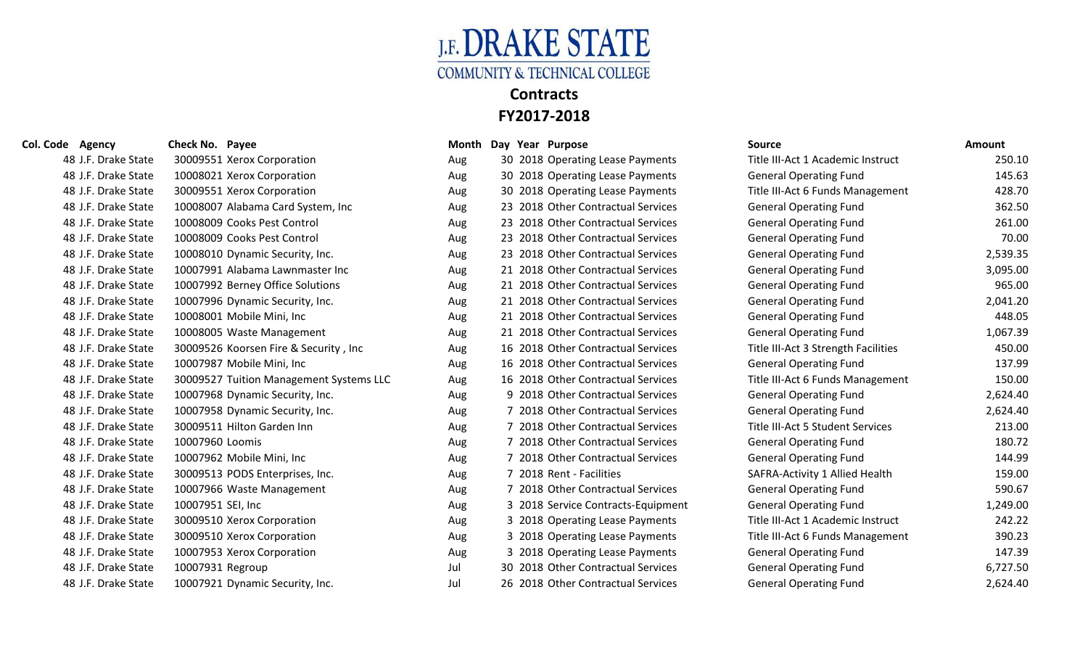

| Col. Code Agency    | Check No. Payee                         | Month | Day Year Purpose                   | <b>Source</b>                       | Amount   |
|---------------------|-----------------------------------------|-------|------------------------------------|-------------------------------------|----------|
| 48 J.F. Drake State | 30009551 Xerox Corporation              | Aug   | 30 2018 Operating Lease Payments   | Title III-Act 1 Academic Instruct   | 250.10   |
| 48 J.F. Drake State | 10008021 Xerox Corporation              | Aug   | 30 2018 Operating Lease Payments   | <b>General Operating Fund</b>       | 145.63   |
| 48 J.F. Drake State | 30009551 Xerox Corporation              | Aug   | 30 2018 Operating Lease Payments   | Title III-Act 6 Funds Management    | 428.70   |
| 48 J.F. Drake State | 10008007 Alabama Card System, Inc       | Aug   | 23 2018 Other Contractual Services | <b>General Operating Fund</b>       | 362.50   |
| 48 J.F. Drake State | 10008009 Cooks Pest Control             | Aug   | 23 2018 Other Contractual Services | <b>General Operating Fund</b>       | 261.00   |
| 48 J.F. Drake State | 10008009 Cooks Pest Control             | Aug   | 23 2018 Other Contractual Services | <b>General Operating Fund</b>       | 70.00    |
| 48 J.F. Drake State | 10008010 Dynamic Security, Inc.         | Aug   | 23 2018 Other Contractual Services | <b>General Operating Fund</b>       | 2,539.35 |
| 48 J.F. Drake State | 10007991 Alabama Lawnmaster Inc         | Aug   | 21 2018 Other Contractual Services | <b>General Operating Fund</b>       | 3,095.00 |
| 48 J.F. Drake State | 10007992 Berney Office Solutions        | Aug   | 21 2018 Other Contractual Services | <b>General Operating Fund</b>       | 965.00   |
| 48 J.F. Drake State | 10007996 Dynamic Security, Inc.         | Aug   | 21 2018 Other Contractual Services | <b>General Operating Fund</b>       | 2,041.20 |
| 48 J.F. Drake State | 10008001 Mobile Mini, Inc               | Aug   | 21 2018 Other Contractual Services | <b>General Operating Fund</b>       | 448.05   |
| 48 J.F. Drake State | 10008005 Waste Management               | Aug   | 21 2018 Other Contractual Services | <b>General Operating Fund</b>       | 1,067.39 |
| 48 J.F. Drake State | 30009526 Koorsen Fire & Security, Inc.  | Aug   | 16 2018 Other Contractual Services | Title III-Act 3 Strength Facilities | 450.00   |
| 48 J.F. Drake State | 10007987 Mobile Mini, Inc               | Aug   | 16 2018 Other Contractual Services | <b>General Operating Fund</b>       | 137.99   |
| 48 J.F. Drake State | 30009527 Tuition Management Systems LLC | Aug   | 16 2018 Other Contractual Services | Title III-Act 6 Funds Management    | 150.00   |
| 48 J.F. Drake State | 10007968 Dynamic Security, Inc.         | Aug   | 9 2018 Other Contractual Services  | <b>General Operating Fund</b>       | 2,624.40 |
| 48 J.F. Drake State | 10007958 Dynamic Security, Inc.         | Aug   | 7 2018 Other Contractual Services  | <b>General Operating Fund</b>       | 2,624.40 |
| 48 J.F. Drake State | 30009511 Hilton Garden Inn              | Aug   | 7 2018 Other Contractual Services  | Title III-Act 5 Student Services    | 213.00   |
| 48 J.F. Drake State | 10007960 Loomis                         | Aug   | 7 2018 Other Contractual Services  | <b>General Operating Fund</b>       | 180.72   |
| 48 J.F. Drake State | 10007962 Mobile Mini, Inc               | Aug   | 7 2018 Other Contractual Services  | <b>General Operating Fund</b>       | 144.99   |
| 48 J.F. Drake State | 30009513 PODS Enterprises, Inc.         | Aug   | 7 2018 Rent - Facilities           | SAFRA-Activity 1 Allied Health      | 159.00   |
| 48 J.F. Drake State | 10007966 Waste Management               | Aug   | 7 2018 Other Contractual Services  | <b>General Operating Fund</b>       | 590.67   |
| 48 J.F. Drake State | 10007951 SEI, Inc                       | Aug   | 3 2018 Service Contracts-Equipment | <b>General Operating Fund</b>       | 1,249.00 |
| 48 J.F. Drake State | 30009510 Xerox Corporation              | Aug   | 3 2018 Operating Lease Payments    | Title III-Act 1 Academic Instruct   | 242.22   |
| 48 J.F. Drake State | 30009510 Xerox Corporation              | Aug   | 3 2018 Operating Lease Payments    | Title III-Act 6 Funds Management    | 390.23   |
| 48 J.F. Drake State | 10007953 Xerox Corporation              | Aug   | 3 2018 Operating Lease Payments    | <b>General Operating Fund</b>       | 147.39   |
| 48 J.F. Drake State | 10007931 Regroup                        | Jul   | 30 2018 Other Contractual Services | <b>General Operating Fund</b>       | 6,727.50 |
| 48 J.F. Drake State | 10007921 Dynamic Security, Inc.         | Jul   | 26 2018 Other Contractual Services | <b>General Operating Fund</b>       | 2,624.40 |

|      | <b>Source</b>                           | <b>Amount</b> |
|------|-----------------------------------------|---------------|
| ts   | Title III-Act 1 Academic Instruct       | 250.10        |
| ts   | <b>General Operating Fund</b>           | 145.63        |
| ts   | Title III-Act 6 Funds Management        | 428.70        |
| эs   | <b>General Operating Fund</b>           | 362.50        |
| эs   | <b>General Operating Fund</b>           | 261.00        |
| эs   | <b>General Operating Fund</b>           | 70.00         |
| эs   | <b>General Operating Fund</b>           | 2,539.35      |
| эs   | <b>General Operating Fund</b>           | 3,095.00      |
| эs   | <b>General Operating Fund</b>           | 965.00        |
| эs   | <b>General Operating Fund</b>           | 2,041.20      |
| эs   | <b>General Operating Fund</b>           | 448.05        |
| эs   | <b>General Operating Fund</b>           | 1,067.39      |
| эs   | Title III-Act 3 Strength Facilities     | 450.00        |
| эs   | <b>General Operating Fund</b>           | 137.99        |
| эs   | Title III-Act 6 Funds Management        | 150.00        |
| эs   | <b>General Operating Fund</b>           | 2,624.40      |
| эs   | <b>General Operating Fund</b>           | 2,624.40      |
| эs   | <b>Title III-Act 5 Student Services</b> | 213.00        |
| эs   | <b>General Operating Fund</b>           | 180.72        |
| эs   | <b>General Operating Fund</b>           | 144.99        |
|      | SAFRA-Activity 1 Allied Health          | 159.00        |
| ≘Ś   | <b>General Operating Fund</b>           | 590.67        |
| າent | <b>General Operating Fund</b>           | 1,249.00      |
| ts   | Title III-Act 1 Academic Instruct       | 242.22        |
| ts   | Title III-Act 6 Funds Management        | 390.23        |
| ts   | <b>General Operating Fund</b>           | 147.39        |
| эs   | <b>General Operating Fund</b>           | 6,727.50      |
|      | بالتقارب والقوماء والمراجعات            | 20011         |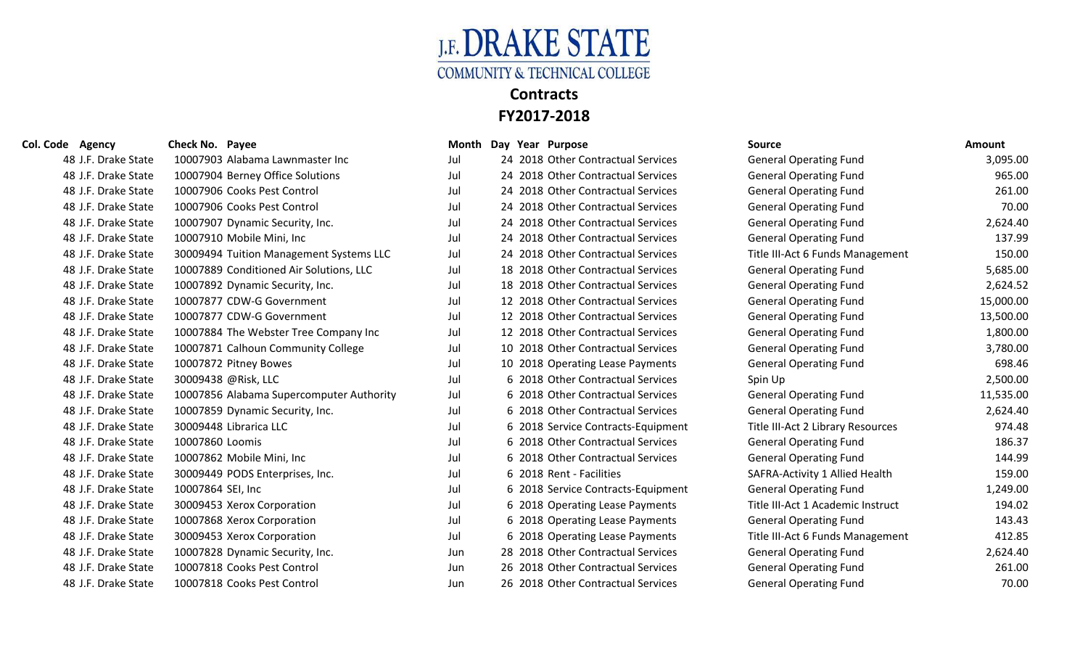

| 48 J.F. Drake State | 10007903 Alabama Lawnmaster Inc          | Jul | 24 2018 Other Contractual Services | General Operating Fund            | 3,095.00  |
|---------------------|------------------------------------------|-----|------------------------------------|-----------------------------------|-----------|
| 48 J.F. Drake State | 10007904 Berney Office Solutions         | Jul | 24 2018 Other Contractual Services | <b>General Operating Fund</b>     | 965.00    |
| 48 J.F. Drake State | 10007906 Cooks Pest Control              | Jul | 24 2018 Other Contractual Services | <b>General Operating Fund</b>     | 261.00    |
| 48 J.F. Drake State | 10007906 Cooks Pest Control              | Jul | 24 2018 Other Contractual Services | <b>General Operating Fund</b>     | 70.00     |
| 48 J.F. Drake State | 10007907 Dynamic Security, Inc.          | Jul | 24 2018 Other Contractual Services | <b>General Operating Fund</b>     | 2,624.40  |
| 48 J.F. Drake State | 10007910 Mobile Mini, Inc                | Jul | 24 2018 Other Contractual Services | <b>General Operating Fund</b>     | 137.99    |
| 48 J.F. Drake State | 30009494 Tuition Management Systems LLC  | Jul | 24 2018 Other Contractual Services | Title III-Act 6 Funds Management  | 150.00    |
| 48 J.F. Drake State | 10007889 Conditioned Air Solutions, LLC  | Jul | 18 2018 Other Contractual Services | <b>General Operating Fund</b>     | 5,685.00  |
| 48 J.F. Drake State | 10007892 Dynamic Security, Inc.          | Jul | 18 2018 Other Contractual Services | <b>General Operating Fund</b>     | 2,624.52  |
| 48 J.F. Drake State | 10007877 CDW-G Government                | Jul | 12 2018 Other Contractual Services | <b>General Operating Fund</b>     | 15,000.00 |
| 48 J.F. Drake State | 10007877 CDW-G Government                | Jul | 12 2018 Other Contractual Services | <b>General Operating Fund</b>     | 13,500.00 |
| 48 J.F. Drake State | 10007884 The Webster Tree Company Inc    | Jul | 12 2018 Other Contractual Services | <b>General Operating Fund</b>     | 1,800.00  |
| 48 J.F. Drake State | 10007871 Calhoun Community College       | Jul | 10 2018 Other Contractual Services | <b>General Operating Fund</b>     | 3,780.00  |
| 48 J.F. Drake State | 10007872 Pitney Bowes                    | Jul | 10 2018 Operating Lease Payments   | <b>General Operating Fund</b>     | 698.46    |
| 48 J.F. Drake State | 30009438 @Risk, LLC                      | Jul | 6 2018 Other Contractual Services  | Spin Up                           | 2,500.00  |
| 48 J.F. Drake State | 10007856 Alabama Supercomputer Authority | Jul | 6 2018 Other Contractual Services  | <b>General Operating Fund</b>     | 11,535.00 |
| 48 J.F. Drake State | 10007859 Dynamic Security, Inc.          | Jul | 6 2018 Other Contractual Services  | <b>General Operating Fund</b>     | 2,624.40  |
| 48 J.F. Drake State | 30009448 Librarica LLC                   | Jul | 6 2018 Service Contracts-Equipment | Title III-Act 2 Library Resources | 974.48    |
| 48 J.F. Drake State | 10007860 Loomis                          | Jul | 6 2018 Other Contractual Services  | <b>General Operating Fund</b>     | 186.37    |
| 48 J.F. Drake State | 10007862 Mobile Mini, Inc                | Jul | 6 2018 Other Contractual Services  | <b>General Operating Fund</b>     | 144.99    |
| 48 J.F. Drake State | 30009449 PODS Enterprises, Inc.          | Jul | 6 2018 Rent - Facilities           | SAFRA-Activity 1 Allied Health    | 159.00    |
| 48 J.F. Drake State | 10007864 SEI, Inc                        | Jul | 6 2018 Service Contracts-Equipment | <b>General Operating Fund</b>     | 1,249.00  |
| 48 J.F. Drake State | 30009453 Xerox Corporation               | Jul | 6 2018 Operating Lease Payments    | Title III-Act 1 Academic Instruct | 194.02    |
| 48 J.F. Drake State | 10007868 Xerox Corporation               | Jul | 6 2018 Operating Lease Payments    | <b>General Operating Fund</b>     | 143.43    |
| 48 J.F. Drake State | 30009453 Xerox Corporation               | Jul | 6 2018 Operating Lease Payments    | Title III-Act 6 Funds Management  | 412.85    |
| 48 J.F. Drake State | 10007828 Dynamic Security, Inc.          | Jun | 28 2018 Other Contractual Services | <b>General Operating Fund</b>     | 2,624.40  |
| 48 J.F. Drake State | 10007818 Cooks Pest Control              | Jun | 26 2018 Other Contractual Services | <b>General Operating Fund</b>     | 261.00    |
| 48 J.F. Drake State | 10007818 Cooks Pest Control              | Jun | 26 2018 Other Contractual Services | <b>General Operating Fund</b>     | 70.00     |

### **Col. Code Agency Check No. Payee Month Day Year Purpose Source Amount**

| 48 J.F. Drake State | 10007903 Alabama Lawnmaster Inc          | Jul | 24 2018 Other Contractual Services | <b>General Operating Fund</b>     | 3,095.00  |
|---------------------|------------------------------------------|-----|------------------------------------|-----------------------------------|-----------|
| 48 J.F. Drake State | 10007904 Berney Office Solutions         | Jul | 24 2018 Other Contractual Services | <b>General Operating Fund</b>     | 965.00    |
| 48 J.F. Drake State | 10007906 Cooks Pest Control              | Jul | 24 2018 Other Contractual Services | <b>General Operating Fund</b>     | 261.00    |
| 48 J.F. Drake State | 10007906 Cooks Pest Control              | Jul | 24 2018 Other Contractual Services | <b>General Operating Fund</b>     | 70.00     |
| 48 J.F. Drake State | 10007907 Dynamic Security, Inc.          | Jul | 24 2018 Other Contractual Services | <b>General Operating Fund</b>     | 2,624.40  |
| 48 J.F. Drake State | 10007910 Mobile Mini, Inc                | Jul | 24 2018 Other Contractual Services | <b>General Operating Fund</b>     | 137.99    |
| 48 J.F. Drake State | 30009494 Tuition Management Systems LLC  | Jul | 24 2018 Other Contractual Services | Title III-Act 6 Funds Management  | 150.00    |
| 48 J.F. Drake State | 10007889 Conditioned Air Solutions, LLC  | Jul | 18 2018 Other Contractual Services | <b>General Operating Fund</b>     | 5,685.00  |
| 48 J.F. Drake State | 10007892 Dynamic Security, Inc.          | Jul | 18 2018 Other Contractual Services | <b>General Operating Fund</b>     | 2,624.52  |
| 48 J.F. Drake State | 10007877 CDW-G Government                | Jul | 12 2018 Other Contractual Services | <b>General Operating Fund</b>     | 15,000.00 |
| 48 J.F. Drake State | 10007877 CDW-G Government                | Jul | 12 2018 Other Contractual Services | <b>General Operating Fund</b>     | 13,500.00 |
| 48 J.F. Drake State | 10007884 The Webster Tree Company Inc    | Jul | 12 2018 Other Contractual Services | <b>General Operating Fund</b>     | 1,800.00  |
| 48 J.F. Drake State | 10007871 Calhoun Community College       | Jul | 10 2018 Other Contractual Services | <b>General Operating Fund</b>     | 3,780.00  |
| 48 J.F. Drake State | 10007872 Pitney Bowes                    | Jul | 10 2018 Operating Lease Payments   | <b>General Operating Fund</b>     | 698.46    |
| 48 J.F. Drake State | 30009438 @Risk, LLC                      | Jul | 6 2018 Other Contractual Services  | Spin Up                           | 2,500.00  |
| 48 J.F. Drake State | 10007856 Alabama Supercomputer Authority | Jul | 6 2018 Other Contractual Services  | <b>General Operating Fund</b>     | 11,535.00 |
| 48 J.F. Drake State | 10007859 Dynamic Security, Inc.          | Jul | 6 2018 Other Contractual Services  | <b>General Operating Fund</b>     | 2,624.40  |
| 48 J.F. Drake State | 30009448 Librarica LLC                   | Jul | 6 2018 Service Contracts-Equipment | Title III-Act 2 Library Resources | 974.48    |
| 48 J.F. Drake State | 10007860 Loomis                          | Jul | 6 2018 Other Contractual Services  | <b>General Operating Fund</b>     | 186.37    |
| 48 J.F. Drake State | 10007862 Mobile Mini, Inc                | Jul | 6 2018 Other Contractual Services  | <b>General Operating Fund</b>     | 144.99    |
| 48 J.F. Drake State | 30009449 PODS Enterprises, Inc.          | Jul | 6 2018 Rent - Facilities           | SAFRA-Activity 1 Allied Health    | 159.00    |
| 48 J.F. Drake State | 10007864 SEI, Inc                        | Jul | 6 2018 Service Contracts-Equipment | <b>General Operating Fund</b>     | 1,249.00  |
| 48 J.F. Drake State | 30009453 Xerox Corporation               | Jul | 6 2018 Operating Lease Payments    | Title III-Act 1 Academic Instruct | 194.02    |
| 48 J.F. Drake State | 10007868 Xerox Corporation               | Jul | 6 2018 Operating Lease Payments    | <b>General Operating Fund</b>     | 143.43    |
| 48 J.F. Drake State | 30009453 Xerox Corporation               | Jul | 6 2018 Operating Lease Payments    | Title III-Act 6 Funds Management  | 412.85    |
| 48 J.F. Drake State | 10007828 Dynamic Security, Inc.          | Jun | 28 2018 Other Contractual Services | <b>General Operating Fund</b>     | 2,624.40  |
| 48 J.F. Drake State | 10007818 Cooks Pest Control              | Jun | 26 2018 Other Contractual Services | <b>General Operating Fund</b>     | 261.00    |
| 48 J.F. Drake State | 10007818 Cooks Pest Control              | Jun | 26 2018 Other Contractual Services | <b>General Operating Fund</b>     | 70.00     |

| <b>General Operating Fund</b>     | 3,095.00  |
|-----------------------------------|-----------|
| <b>General Operating Fund</b>     | 965.00    |
| <b>General Operating Fund</b>     | 261.00    |
| <b>General Operating Fund</b>     | 70.00     |
| <b>General Operating Fund</b>     | 2,624.40  |
| <b>General Operating Fund</b>     | 137.99    |
| Title III-Act 6 Funds Management  | 150.00    |
| <b>General Operating Fund</b>     | 5,685.00  |
| <b>General Operating Fund</b>     | 2,624.52  |
| <b>General Operating Fund</b>     | 15,000.00 |
| <b>General Operating Fund</b>     | 13,500.00 |
| <b>General Operating Fund</b>     | 1,800.00  |
| <b>General Operating Fund</b>     | 3,780.00  |
| <b>General Operating Fund</b>     | 698.46    |
| Spin Up                           | 2,500.00  |
| <b>General Operating Fund</b>     | 11,535.00 |
| <b>General Operating Fund</b>     | 2,624.40  |
| Title III-Act 2 Library Resources | 974.48    |
| <b>General Operating Fund</b>     | 186.37    |
| <b>General Operating Fund</b>     | 144.99    |
| SAFRA-Activity 1 Allied Health    | 159.00    |
| <b>General Operating Fund</b>     | 1,249.00  |
| Title III-Act 1 Academic Instruct | 194.02    |
| <b>General Operating Fund</b>     | 143.43    |
| Title III-Act 6 Funds Management  | 412.85    |
| <b>General Operating Fund</b>     | 2,624.40  |
| <b>General Operating Fund</b>     | 261.00    |
| <b>General Onerating Fund</b>     | 70.00     |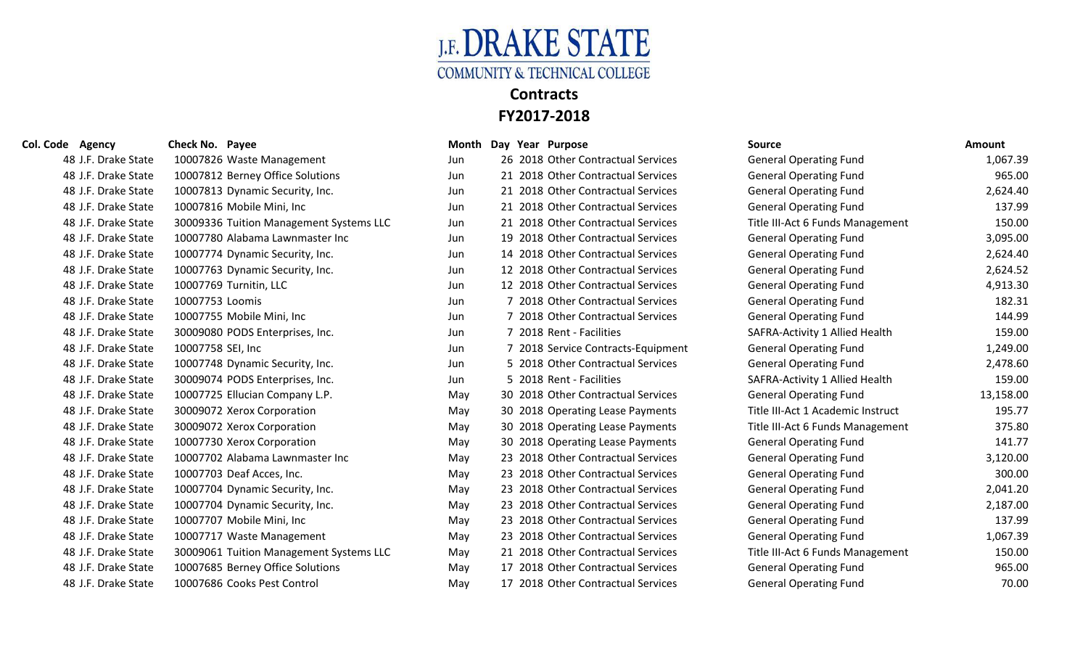

| 48 J.F. Drake State | 10007826 Waste Management               | Jun | 26 2018 Other Contractual Services | General Operating Fund            | 1,067.39  |
|---------------------|-----------------------------------------|-----|------------------------------------|-----------------------------------|-----------|
| 48 J.F. Drake State | 10007812 Berney Office Solutions        | Jun | 21 2018 Other Contractual Services | <b>General Operating Fund</b>     | 965.00    |
| 48 J.F. Drake State | 10007813 Dynamic Security, Inc.         | Jun | 21 2018 Other Contractual Services | <b>General Operating Fund</b>     | 2,624.40  |
| 48 J.F. Drake State | 10007816 Mobile Mini, Inc               | Jun | 21 2018 Other Contractual Services | <b>General Operating Fund</b>     | 137.99    |
| 48 J.F. Drake State | 30009336 Tuition Management Systems LLC | Jun | 21 2018 Other Contractual Services | Title III-Act 6 Funds Management  | 150.00    |
| 48 J.F. Drake State | 10007780 Alabama Lawnmaster Inc         | Jun | 19 2018 Other Contractual Services | <b>General Operating Fund</b>     | 3,095.00  |
| 48 J.F. Drake State | 10007774 Dynamic Security, Inc.         | Jun | 14 2018 Other Contractual Services | <b>General Operating Fund</b>     | 2,624.40  |
| 48 J.F. Drake State | 10007763 Dynamic Security, Inc.         | Jun | 12 2018 Other Contractual Services | <b>General Operating Fund</b>     | 2,624.52  |
| 48 J.F. Drake State | 10007769 Turnitin, LLC                  | Jun | 12 2018 Other Contractual Services | <b>General Operating Fund</b>     | 4,913.30  |
| 48 J.F. Drake State | 10007753 Loomis                         | Jun | 7 2018 Other Contractual Services  | <b>General Operating Fund</b>     | 182.31    |
| 48 J.F. Drake State | 10007755 Mobile Mini, Inc               | Jun | 7 2018 Other Contractual Services  | <b>General Operating Fund</b>     | 144.99    |
| 48 J.F. Drake State | 30009080 PODS Enterprises, Inc.         | Jun | 7 2018 Rent - Facilities           | SAFRA-Activity 1 Allied Health    | 159.00    |
| 48 J.F. Drake State | 10007758 SEI, Inc                       | Jun | 7 2018 Service Contracts-Equipment | <b>General Operating Fund</b>     | 1,249.00  |
| 48 J.F. Drake State | 10007748 Dynamic Security, Inc.         | Jun | 5 2018 Other Contractual Services  | <b>General Operating Fund</b>     | 2,478.60  |
| 48 J.F. Drake State | 30009074 PODS Enterprises, Inc.         | Jun | 5 2018 Rent - Facilities           | SAFRA-Activity 1 Allied Health    | 159.00    |
| 48 J.F. Drake State | 10007725 Ellucian Company L.P.          | May | 30 2018 Other Contractual Services | <b>General Operating Fund</b>     | 13,158.00 |
| 48 J.F. Drake State | 30009072 Xerox Corporation              | May | 30 2018 Operating Lease Payments   | Title III-Act 1 Academic Instruct | 195.77    |
| 48 J.F. Drake State | 30009072 Xerox Corporation              | May | 30 2018 Operating Lease Payments   | Title III-Act 6 Funds Management  | 375.80    |
| 48 J.F. Drake State | 10007730 Xerox Corporation              | May | 30 2018 Operating Lease Payments   | <b>General Operating Fund</b>     | 141.77    |
| 48 J.F. Drake State | 10007702 Alabama Lawnmaster Inc         | May | 23 2018 Other Contractual Services | <b>General Operating Fund</b>     | 3,120.00  |
| 48 J.F. Drake State | 10007703 Deaf Acces, Inc.               | May | 23 2018 Other Contractual Services | <b>General Operating Fund</b>     | 300.00    |
| 48 J.F. Drake State | 10007704 Dynamic Security, Inc.         | May | 23 2018 Other Contractual Services | <b>General Operating Fund</b>     | 2,041.20  |
| 48 J.F. Drake State | 10007704 Dynamic Security, Inc.         | May | 23 2018 Other Contractual Services | <b>General Operating Fund</b>     | 2,187.00  |
| 48 J.F. Drake State | 10007707 Mobile Mini, Inc               | May | 23 2018 Other Contractual Services | <b>General Operating Fund</b>     | 137.99    |
| 48 J.F. Drake State | 10007717 Waste Management               | May | 23 2018 Other Contractual Services | <b>General Operating Fund</b>     | 1,067.39  |
| 48 J.F. Drake State | 30009061 Tuition Management Systems LLC | May | 21 2018 Other Contractual Services | Title III-Act 6 Funds Management  | 150.00    |
| 48 J.F. Drake State | 10007685 Berney Office Solutions        | May | 17 2018 Other Contractual Services | <b>General Operating Fund</b>     | 965.00    |
| 48 J.F. Drake State | 10007686 Cooks Pest Control             | Mav | 17 2018 Other Contractual Services | <b>General Operating Fund</b>     | 70.00     |

|     |     | <b>IVIUIILII DAY ICAI FUIPUSC</b>  |
|-----|-----|------------------------------------|
| Jun |     | 26 2018 Other Contractual Services |
| Jun |     | 21 2018 Other Contractual Services |
| Jun |     | 21 2018 Other Contractual Services |
| Jun |     | 21 2018 Other Contractual Services |
| Jun |     | 21 2018 Other Contractual Services |
| Jun |     | 19 2018 Other Contractual Services |
| Jun |     | 14 2018 Other Contractual Services |
| Jun |     | 12 2018 Other Contractual Services |
| Jun |     | 12 2018 Other Contractual Services |
| Jun | 7   | 2018 Other Contractual Services    |
| Jun | 7   | 2018 Other Contractual Services    |
| Jun | 7   | 2018 Rent - Facilities             |
| Jun | 7   | 2018 Service Contracts-Equipment   |
| Jun | 5   | 2018 Other Contractual Services    |
| Jun |     | 5 2018 Rent - Facilities           |
| May |     | 30 2018 Other Contractual Services |
| May |     | 30 2018 Operating Lease Payments   |
| May |     | 30 2018 Operating Lease Payments   |
| May | 30  | 2018 Operating Lease Payments      |
| May |     | 23 2018 Other Contractual Services |
| May | 23. | 2018 Other Contractual Services    |
| May |     | 23 2018 Other Contractual Services |
| May |     | 23 2018 Other Contractual Services |
| May |     | 23 2018 Other Contractual Services |
| May |     | 23 2018 Other Contractual Services |
| May |     | 21 2018 Other Contractual Services |
| May | 17  | 2018 Other Contractual Services    |
| May | 17  | 2018 Other Contractual Services    |

| Col. Code Agency    | Check No. Payee                         |     | Month Day Year Purpose             | <b>Source</b>                     | <b>Amount</b> |
|---------------------|-----------------------------------------|-----|------------------------------------|-----------------------------------|---------------|
| 48 J.F. Drake State | 10007826 Waste Management               | Jun | 26 2018 Other Contractual Services | <b>General Operating Fund</b>     | 1,067.39      |
| 48 J.F. Drake State | 10007812 Berney Office Solutions        | Jun | 21 2018 Other Contractual Services | <b>General Operating Fund</b>     | 965.00        |
| 48 J.F. Drake State | 10007813 Dynamic Security, Inc.         | Jun | 21 2018 Other Contractual Services | <b>General Operating Fund</b>     | 2,624.40      |
| 48 J.F. Drake State | 10007816 Mobile Mini, Inc               | Jun | 21 2018 Other Contractual Services | <b>General Operating Fund</b>     | 137.99        |
| 48 J.F. Drake State | 30009336 Tuition Management Systems LLC | Jun | 21 2018 Other Contractual Services | Title III-Act 6 Funds Management  | 150.00        |
| 48 J.F. Drake State | 10007780 Alabama Lawnmaster Inc         | Jun | 19 2018 Other Contractual Services | <b>General Operating Fund</b>     | 3,095.00      |
| 48 J.F. Drake State | 10007774 Dynamic Security, Inc.         | Jun | 14 2018 Other Contractual Services | <b>General Operating Fund</b>     | 2,624.40      |
| 48 J.F. Drake State | 10007763 Dynamic Security, Inc.         | Jun | 12 2018 Other Contractual Services | <b>General Operating Fund</b>     | 2,624.52      |
| 48 J.F. Drake State | 10007769 Turnitin, LLC                  | Jun | 12 2018 Other Contractual Services | <b>General Operating Fund</b>     | 4,913.30      |
| 48 J.F. Drake State | 10007753 Loomis                         | Jun | 7 2018 Other Contractual Services  | <b>General Operating Fund</b>     | 182.31        |
| 48 J.F. Drake State | 10007755 Mobile Mini, Inc               | Jun | 7 2018 Other Contractual Services  | <b>General Operating Fund</b>     | 144.99        |
| 48 J.F. Drake State | 30009080 PODS Enterprises, Inc.         | Jun | 7 2018 Rent - Facilities           | SAFRA-Activity 1 Allied Health    | 159.00        |
| 48 J.F. Drake State | 10007758 SEI, Inc                       | Jun | 7 2018 Service Contracts-Equipment | <b>General Operating Fund</b>     | 1,249.00      |
| 48 J.F. Drake State | 10007748 Dynamic Security, Inc.         | Jun | 5 2018 Other Contractual Services  | <b>General Operating Fund</b>     | 2,478.60      |
| 48 J.F. Drake State | 30009074 PODS Enterprises, Inc.         | Jun | 5 2018 Rent - Facilities           | SAFRA-Activity 1 Allied Health    | 159.00        |
| 48 J.F. Drake State | 10007725 Ellucian Company L.P.          | May | 30 2018 Other Contractual Services | <b>General Operating Fund</b>     | 13,158.00     |
| 48 J.F. Drake State | 30009072 Xerox Corporation              | May | 30 2018 Operating Lease Payments   | Title III-Act 1 Academic Instruct | 195.77        |
| 48 J.F. Drake State | 30009072 Xerox Corporation              | May | 30 2018 Operating Lease Payments   | Title III-Act 6 Funds Management  | 375.80        |
| 48 J.F. Drake State | 10007730 Xerox Corporation              | May | 30 2018 Operating Lease Payments   | <b>General Operating Fund</b>     | 141.77        |
| 48 J.F. Drake State | 10007702 Alabama Lawnmaster Inc         | May | 23 2018 Other Contractual Services | <b>General Operating Fund</b>     | 3,120.00      |
| 48 J.F. Drake State | 10007703 Deaf Acces, Inc.               | May | 23 2018 Other Contractual Services | <b>General Operating Fund</b>     | 300.00        |
| 48 J.F. Drake State | 10007704 Dynamic Security, Inc.         | May | 23 2018 Other Contractual Services | <b>General Operating Fund</b>     | 2,041.20      |
| 48 J.F. Drake State | 10007704 Dynamic Security, Inc.         | May | 23 2018 Other Contractual Services | <b>General Operating Fund</b>     | 2,187.00      |
| 48 J.F. Drake State | 10007707 Mobile Mini, Inc               | May | 23 2018 Other Contractual Services | <b>General Operating Fund</b>     | 137.99        |
| 48 J.F. Drake State | 10007717 Waste Management               | May | 23 2018 Other Contractual Services | <b>General Operating Fund</b>     | 1,067.39      |
| 48 J.F. Drake State | 30009061 Tuition Management Systems LLC | May | 21 2018 Other Contractual Services | Title III-Act 6 Funds Management  | 150.00        |
| 48 J.F. Drake State | 10007685 Berney Office Solutions        | May | 17 2018 Other Contractual Services | <b>General Operating Fund</b>     | 965.00        |
| 48 J.F. Drake State | 10007686 Cooks Pest Control             | Mav | 17 2018 Other Contractual Services | <b>General Operating Fund</b>     | 70.00         |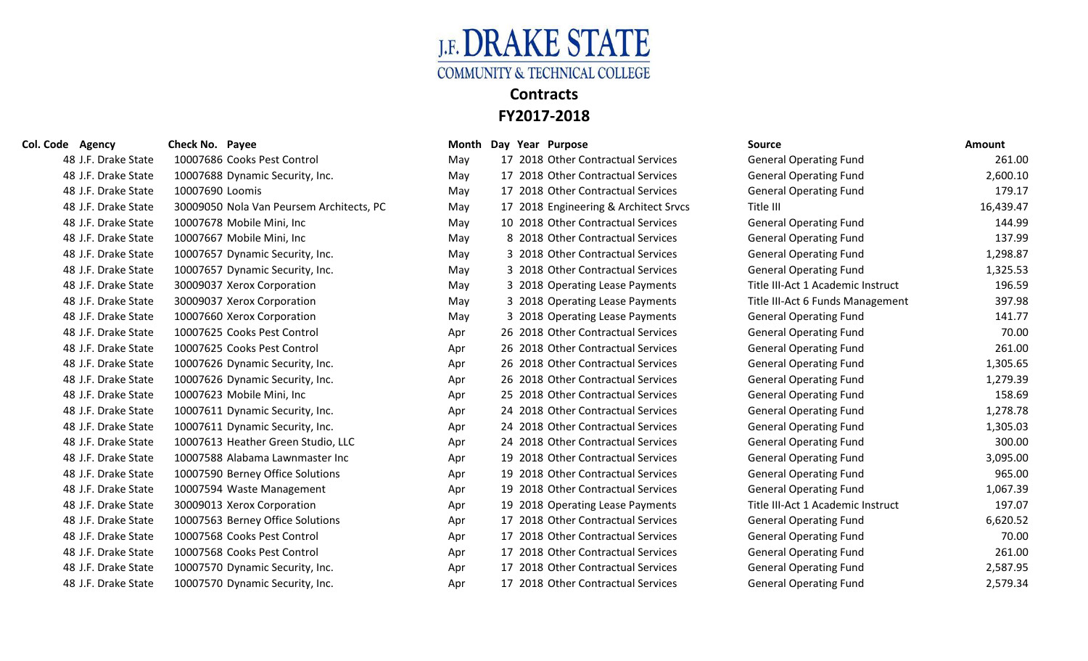

| 48 J.F. Drake State | 10007686 Cooks Pest Control              | May | 17 2018 Other Contractual Services    | <b>General Operating Fund</b>     | 261.00    |
|---------------------|------------------------------------------|-----|---------------------------------------|-----------------------------------|-----------|
| 48 J.F. Drake State | 10007688 Dynamic Security, Inc.          | May | 17 2018 Other Contractual Services    | <b>General Operating Fund</b>     | 2,600.10  |
| 48 J.F. Drake State | 10007690 Loomis                          | May | 17 2018 Other Contractual Services    | <b>General Operating Fund</b>     | 179.17    |
| 48 J.F. Drake State | 30009050 Nola Van Peursem Architects, PC | May | 17 2018 Engineering & Architect Srvcs | Title III                         | 16,439.47 |
| 48 J.F. Drake State | 10007678 Mobile Mini, Inc                | May | 10 2018 Other Contractual Services    | <b>General Operating Fund</b>     | 144.99    |
| 48 J.F. Drake State | 10007667 Mobile Mini, Inc                | May | 8 2018 Other Contractual Services     | <b>General Operating Fund</b>     | 137.99    |
| 48 J.F. Drake State | 10007657 Dynamic Security, Inc.          | May | 3 2018 Other Contractual Services     | <b>General Operating Fund</b>     | 1,298.87  |
| 48 J.F. Drake State | 10007657 Dynamic Security, Inc.          | May | 3 2018 Other Contractual Services     | <b>General Operating Fund</b>     | 1,325.53  |
| 48 J.F. Drake State | 30009037 Xerox Corporation               | May | 3 2018 Operating Lease Payments       | Title III-Act 1 Academic Instruct | 196.59    |
| 48 J.F. Drake State | 30009037 Xerox Corporation               | May | 3 2018 Operating Lease Payments       | Title III-Act 6 Funds Management  | 397.98    |
| 48 J.F. Drake State | 10007660 Xerox Corporation               | May | 3 2018 Operating Lease Payments       | <b>General Operating Fund</b>     | 141.77    |
| 48 J.F. Drake State | 10007625 Cooks Pest Control              | Apr | 26 2018 Other Contractual Services    | <b>General Operating Fund</b>     | 70.00     |
| 48 J.F. Drake State | 10007625 Cooks Pest Control              | Apr | 26 2018 Other Contractual Services    | <b>General Operating Fund</b>     | 261.00    |
| 48 J.F. Drake State | 10007626 Dynamic Security, Inc.          | Apr | 26 2018 Other Contractual Services    | <b>General Operating Fund</b>     | 1,305.65  |
| 48 J.F. Drake State | 10007626 Dynamic Security, Inc.          | Apr | 26 2018 Other Contractual Services    | <b>General Operating Fund</b>     | 1,279.39  |
| 48 J.F. Drake State | 10007623 Mobile Mini, Inc                | Apr | 25 2018 Other Contractual Services    | <b>General Operating Fund</b>     | 158.69    |
| 48 J.F. Drake State | 10007611 Dynamic Security, Inc.          | Apr | 24 2018 Other Contractual Services    | <b>General Operating Fund</b>     | 1,278.78  |
| 48 J.F. Drake State | 10007611 Dynamic Security, Inc.          | Apr | 24 2018 Other Contractual Services    | <b>General Operating Fund</b>     | 1,305.03  |
| 48 J.F. Drake State | 10007613 Heather Green Studio, LLC       | Apr | 24 2018 Other Contractual Services    | <b>General Operating Fund</b>     | 300.00    |
| 48 J.F. Drake State | 10007588 Alabama Lawnmaster Inc          | Apr | 19 2018 Other Contractual Services    | <b>General Operating Fund</b>     | 3,095.00  |
| 48 J.F. Drake State | 10007590 Berney Office Solutions         | Apr | 19 2018 Other Contractual Services    | <b>General Operating Fund</b>     | 965.00    |
| 48 J.F. Drake State | 10007594 Waste Management                | Apr | 19 2018 Other Contractual Services    | <b>General Operating Fund</b>     | 1,067.39  |
| 48 J.F. Drake State | 30009013 Xerox Corporation               | Apr | 19 2018 Operating Lease Payments      | Title III-Act 1 Academic Instruct | 197.07    |
| 48 J.F. Drake State | 10007563 Berney Office Solutions         | Apr | 17 2018 Other Contractual Services    | <b>General Operating Fund</b>     | 6,620.52  |
| 48 J.F. Drake State | 10007568 Cooks Pest Control              | Apr | 17 2018 Other Contractual Services    | <b>General Operating Fund</b>     | 70.00     |
| 48 J.F. Drake State | 10007568 Cooks Pest Control              | Apr | 17 2018 Other Contractual Services    | <b>General Operating Fund</b>     | 261.00    |
| 48 J.F. Drake State | 10007570 Dynamic Security, Inc.          | Apr | 17 2018 Other Contractual Services    | <b>General Operating Fund</b>     | 2,587.95  |
| 48 J.F. Drake State | 10007570 Dynamic Security, Inc.          | Apr | 17 2018 Other Contractual Services    | <b>General Operating Fund</b>     | 2,579.34  |

| May |    | 17 2018 Other Contractual Services |
|-----|----|------------------------------------|
| May | 17 | 2018 Other Contractual Services    |
| May |    | 17 2018 Other Contractual Services |
| May | 17 | 2018 Engineering & Architect Srvcs |
| May | 10 | 2018 Other Contractual Services    |
| May | 8  | 2018 Other Contractual Services    |
| May | 3  | 2018 Other Contractual Services    |
| May | 3  | 2018 Other Contractual Services    |
| May |    | 3 2018 Operating Lease Payments    |
| May | 3  | 2018 Operating Lease Payments      |
| May | 3  | 2018 Operating Lease Payments      |
| Apr | 26 | 2018 Other Contractual Services    |
| Apr |    | 26 2018 Other Contractual Services |
| Apr |    | 26 2018 Other Contractual Services |
| Apr |    | 26 2018 Other Contractual Services |
| Apr |    | 25 2018 Other Contractual Services |
| Apr |    | 24 2018 Other Contractual Services |
| Apr |    | 24 2018 Other Contractual Services |
| Apr |    | 24 2018 Other Contractual Services |
| Apr |    | 19 2018 Other Contractual Services |
| Apr | 19 | 2018 Other Contractual Services    |
| Apr |    | 19 2018 Other Contractual Services |
| Apr | 19 | 2018 Operating Lease Payments      |
| Apr | 17 | 2018 Other Contractual Services    |
| Apr |    | 17 2018 Other Contractual Services |
| Apr | 17 | 2018 Other Contractual Services    |
| Apr | 17 | 2018 Other Contractual Services    |
| Apr |    | 17 2018 Other Contractual Services |
|     |    |                                    |

| <b>Col. Code Agency</b> | Check No. Payee                          |     | Month Day Year Purpose |                                       | <b>Source</b>                     | <b>Amount</b> |
|-------------------------|------------------------------------------|-----|------------------------|---------------------------------------|-----------------------------------|---------------|
| 48 J.F. Drake State     | 10007686 Cooks Pest Control              | May |                        | 17 2018 Other Contractual Services    | <b>General Operating Fund</b>     | 261.00        |
| 48 J.F. Drake State     | 10007688 Dynamic Security, Inc.          | May |                        | 17 2018 Other Contractual Services    | <b>General Operating Fund</b>     | 2,600.10      |
| 48 J.F. Drake State     | 10007690 Loomis                          | May |                        | 17 2018 Other Contractual Services    | <b>General Operating Fund</b>     | 179.17        |
| 48 J.F. Drake State     | 30009050 Nola Van Peursem Architects, PC | May |                        | 17 2018 Engineering & Architect Srvcs | Title III                         | 16,439.47     |
| 48 J.F. Drake State     | 10007678 Mobile Mini, Inc                | May |                        | 10 2018 Other Contractual Services    | <b>General Operating Fund</b>     | 144.99        |
| 48 J.F. Drake State     | 10007667 Mobile Mini, Inc                | May |                        | 8 2018 Other Contractual Services     | <b>General Operating Fund</b>     | 137.99        |
| 48 J.F. Drake State     | 10007657 Dynamic Security, Inc.          | May |                        | 3 2018 Other Contractual Services     | <b>General Operating Fund</b>     | 1,298.87      |
| 48 J.F. Drake State     | 10007657 Dynamic Security, Inc.          | May |                        | 3 2018 Other Contractual Services     | <b>General Operating Fund</b>     | 1,325.53      |
| 48 J.F. Drake State     | 30009037 Xerox Corporation               | May |                        | 3 2018 Operating Lease Payments       | Title III-Act 1 Academic Instruct | 196.59        |
| 48 J.F. Drake State     | 30009037 Xerox Corporation               | May |                        | 3 2018 Operating Lease Payments       | Title III-Act 6 Funds Management  | 397.98        |
| 48 J.F. Drake State     | 10007660 Xerox Corporation               | May |                        | 3 2018 Operating Lease Payments       | <b>General Operating Fund</b>     | 141.77        |
| 48 J.F. Drake State     | 10007625 Cooks Pest Control              | Apr |                        | 26 2018 Other Contractual Services    | <b>General Operating Fund</b>     | 70.00         |
| 48 J.F. Drake State     | 10007625 Cooks Pest Control              | Apr |                        | 26 2018 Other Contractual Services    | <b>General Operating Fund</b>     | 261.00        |
| 48 J.F. Drake State     | 10007626 Dynamic Security, Inc.          | Apr |                        | 26 2018 Other Contractual Services    | <b>General Operating Fund</b>     | 1,305.65      |
| 48 J.F. Drake State     | 10007626 Dynamic Security, Inc.          | Apr |                        | 26 2018 Other Contractual Services    | <b>General Operating Fund</b>     | 1,279.39      |
| 48 J.F. Drake State     | 10007623 Mobile Mini, Inc                | Apr |                        | 25 2018 Other Contractual Services    | <b>General Operating Fund</b>     | 158.69        |
| 48 J.F. Drake State     | 10007611 Dynamic Security, Inc.          | Apr |                        | 24 2018 Other Contractual Services    | <b>General Operating Fund</b>     | 1,278.78      |
| 48 J.F. Drake State     | 10007611 Dynamic Security, Inc.          | Apr |                        | 24 2018 Other Contractual Services    | <b>General Operating Fund</b>     | 1,305.03      |
| 48 J.F. Drake State     | 10007613 Heather Green Studio, LLC       | Apr |                        | 24 2018 Other Contractual Services    | <b>General Operating Fund</b>     | 300.00        |
| 48 J.F. Drake State     | 10007588 Alabama Lawnmaster Inc          | Apr |                        | 19 2018 Other Contractual Services    | <b>General Operating Fund</b>     | 3,095.00      |
| 48 J.F. Drake State     | 10007590 Berney Office Solutions         | Apr |                        | 19 2018 Other Contractual Services    | <b>General Operating Fund</b>     | 965.00        |
| 48 J.F. Drake State     | 10007594 Waste Management                | Apr |                        | 19 2018 Other Contractual Services    | <b>General Operating Fund</b>     | 1,067.39      |
| 48 J.F. Drake State     | 30009013 Xerox Corporation               | Apr |                        | 19 2018 Operating Lease Payments      | Title III-Act 1 Academic Instruct | 197.07        |
| 48 J.F. Drake State     | 10007563 Berney Office Solutions         | Apr |                        | 17 2018 Other Contractual Services    | <b>General Operating Fund</b>     | 6,620.52      |
| 48 J.F. Drake State     | 10007568 Cooks Pest Control              | Apr |                        | 17 2018 Other Contractual Services    | <b>General Operating Fund</b>     | 70.00         |
| 48 J.F. Drake State     | 10007568 Cooks Pest Control              | Apr |                        | 17 2018 Other Contractual Services    | <b>General Operating Fund</b>     | 261.00        |
| 48 J.F. Drake State     | 10007570 Dynamic Security, Inc.          | Apr |                        | 17 2018 Other Contractual Services    | <b>General Operating Fund</b>     | 2,587.95      |
| 48 J.F. Drake State     | 10007570 Dynamic Security, Inc.          | Apr |                        | 17 2018 Other Contractual Services    | <b>General Operating Fund</b>     | 2.579.34      |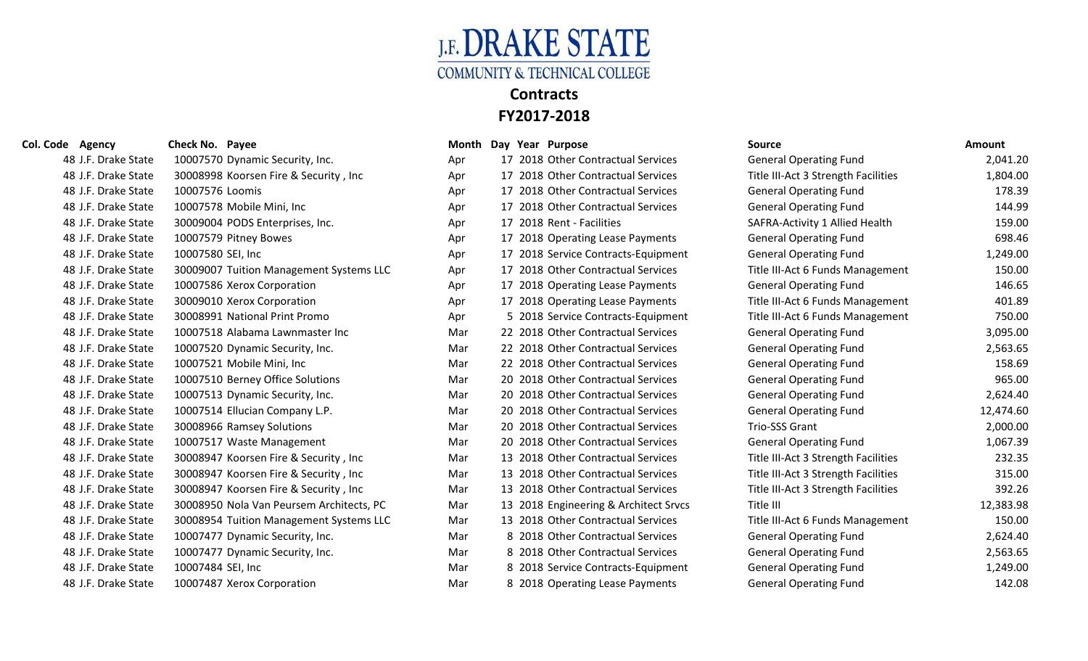

### **Col. Code Agency Check No. Payee Month Day Year Purpose Source Amount**

| Apr |    | 17 2018 Other Contractual Services |
|-----|----|------------------------------------|
| Apr | 17 | 2018 Other Contractual Services    |
| Apr | 17 | 2018 Other Contractual Services    |
| Apr | 17 | 2018 Other Contractual Services    |
| Apr | 17 | 2018 Rent - Facilities             |
| Apr | 17 | 2018 Operating Lease Payments      |
| Apr | 17 | 2018 Service Contracts-Equipme     |
| Apr | 17 | 2018 Other Contractual Services    |
| Apr | 17 | 2018 Operating Lease Payments      |
| Apr | 17 | 2018 Operating Lease Payments      |
| Apr | 5  | 2018 Service Contracts-Equipme     |
| Mar | 22 | 2018 Other Contractual Services    |
| Mar | 22 | 2018 Other Contractual Services    |
| Mar | 22 | 2018 Other Contractual Services    |
| Mar | 20 | 2018 Other Contractual Services    |
| Mar | 20 | 2018 Other Contractual Services    |
| Mar | 20 | 2018 Other Contractual Services    |
| Mar | 20 | 2018 Other Contractual Services    |
| Mar | 20 | 2018 Other Contractual Services    |
| Mar | 13 | 2018 Other Contractual Services    |
| Mar | 13 | 2018 Other Contractual Services    |
| Mar | 13 | 2018 Other Contractual Services    |
| Mar | 13 | 2018 Engineering & Architect Srv   |
| Mar | 13 | 2018 Other Contractual Services    |
| Mar | 8  | 2018 Other Contractual Services    |
| Mar | 8  | 2018 Other Contractual Services    |
| Mar | 8  | 2018 Service Contracts-Equipme     |
| Mar | 8  | 2018 Operating Lease Payments      |

| suure                               | AIIIvuiit |
|-------------------------------------|-----------|
| <b>General Operating Fund</b>       | 2,041.20  |
| Title III-Act 3 Strength Facilities | 1,804.00  |
| <b>General Operating Fund</b>       | 178.39    |
| <b>General Operating Fund</b>       | 144.99    |
| SAFRA-Activity 1 Allied Health      | 159.00    |
| <b>General Operating Fund</b>       | 698.46    |
| <b>General Operating Fund</b>       | 1,249.00  |
| Title III-Act 6 Funds Management    | 150.00    |
| <b>General Operating Fund</b>       | 146.65    |
| Title III-Act 6 Funds Management    | 401.89    |
| Title III-Act 6 Funds Management    | 750.00    |
| <b>General Operating Fund</b>       | 3,095.00  |
| <b>General Operating Fund</b>       | 2,563.65  |
| <b>General Operating Fund</b>       | 158.69    |
| <b>General Operating Fund</b>       | 965.00    |
| <b>General Operating Fund</b>       | 2,624.40  |
| <b>General Operating Fund</b>       | 12,474.60 |
| <b>Trio-SSS Grant</b>               | 2,000.00  |
| <b>General Operating Fund</b>       | 1,067.39  |
| Title III-Act 3 Strength Facilities | 232.35    |
| Title III-Act 3 Strength Facilities | 315.00    |
| Title III-Act 3 Strength Facilities | 392.26    |
| Title III                           | 12,383.98 |
| Title III-Act 6 Funds Management    | 150.00    |
| <b>General Operating Fund</b>       | 2,624.40  |
| <b>General Operating Fund</b>       | 2,563.65  |
| <b>General Operating Fund</b>       | 1,249.00  |
| <b>General Operating Fund</b>       | 142.08    |

| 48 J.F. Drake State | 10007570 Dynamic Security, Inc.          | Apr | 17 2018 Other Contractual Services    | <b>General Operating Fund</b>       | 2,041.20  |
|---------------------|------------------------------------------|-----|---------------------------------------|-------------------------------------|-----------|
| 48 J.F. Drake State | 30008998 Koorsen Fire & Security, Inc.   | Apr | 17 2018 Other Contractual Services    | Title III-Act 3 Strength Facilities | 1,804.00  |
| 48 J.F. Drake State | 10007576 Loomis                          | Apr | 17 2018 Other Contractual Services    | <b>General Operating Fund</b>       | 178.39    |
| 48 J.F. Drake State | 10007578 Mobile Mini, Inc                | Apr | 17 2018 Other Contractual Services    | <b>General Operating Fund</b>       | 144.99    |
| 48 J.F. Drake State | 30009004 PODS Enterprises, Inc.          | Apr | 17 2018 Rent - Facilities             | SAFRA-Activity 1 Allied Health      | 159.00    |
| 48 J.F. Drake State | 10007579 Pitney Bowes                    | Apr | 17 2018 Operating Lease Payments      | <b>General Operating Fund</b>       | 698.46    |
| 48 J.F. Drake State | 10007580 SEI, Inc                        | Apr | 17 2018 Service Contracts-Equipment   | <b>General Operating Fund</b>       | 1,249.00  |
| 48 J.F. Drake State | 30009007 Tuition Management Systems LLC  | Apr | 17 2018 Other Contractual Services    | Title III-Act 6 Funds Management    | 150.00    |
| 48 J.F. Drake State | 10007586 Xerox Corporation               | Apr | 17 2018 Operating Lease Payments      | <b>General Operating Fund</b>       | 146.65    |
| 48 J.F. Drake State | 30009010 Xerox Corporation               | Apr | 17 2018 Operating Lease Payments      | Title III-Act 6 Funds Management    | 401.89    |
| 48 J.F. Drake State | 30008991 National Print Promo            | Apr | 5 2018 Service Contracts-Equipment    | Title III-Act 6 Funds Management    | 750.00    |
| 48 J.F. Drake State | 10007518 Alabama Lawnmaster Inc          | Mar | 22 2018 Other Contractual Services    | <b>General Operating Fund</b>       | 3,095.00  |
| 48 J.F. Drake State | 10007520 Dynamic Security, Inc.          | Mar | 22 2018 Other Contractual Services    | <b>General Operating Fund</b>       | 2,563.65  |
| 48 J.F. Drake State | 10007521 Mobile Mini, Inc                | Mar | 22 2018 Other Contractual Services    | <b>General Operating Fund</b>       | 158.69    |
| 48 J.F. Drake State | 10007510 Berney Office Solutions         | Mar | 20 2018 Other Contractual Services    | <b>General Operating Fund</b>       | 965.00    |
| 48 J.F. Drake State | 10007513 Dynamic Security, Inc.          | Mar | 20 2018 Other Contractual Services    | <b>General Operating Fund</b>       | 2,624.40  |
| 48 J.F. Drake State | 10007514 Ellucian Company L.P.           | Mar | 20 2018 Other Contractual Services    | <b>General Operating Fund</b>       | 12,474.60 |
| 48 J.F. Drake State | 30008966 Ramsey Solutions                | Mar | 20 2018 Other Contractual Services    | Trio-SSS Grant                      | 2,000.00  |
| 48 J.F. Drake State | 10007517 Waste Management                | Mar | 20 2018 Other Contractual Services    | <b>General Operating Fund</b>       | 1,067.39  |
| 48 J.F. Drake State | 30008947 Koorsen Fire & Security, Inc.   | Mar | 13 2018 Other Contractual Services    | Title III-Act 3 Strength Facilities | 232.35    |
| 48 J.F. Drake State | 30008947 Koorsen Fire & Security, Inc    | Mar | 13 2018 Other Contractual Services    | Title III-Act 3 Strength Facilities | 315.00    |
| 48 J.F. Drake State | 30008947 Koorsen Fire & Security, Inc.   | Mar | 13 2018 Other Contractual Services    | Title III-Act 3 Strength Facilities | 392.26    |
| 48 J.F. Drake State | 30008950 Nola Van Peursem Architects, PC | Mar | 13 2018 Engineering & Architect Srvcs | Title III                           | 12,383.98 |
| 48 J.F. Drake State | 30008954 Tuition Management Systems LLC  | Mar | 13 2018 Other Contractual Services    | Title III-Act 6 Funds Management    | 150.00    |
| 48 J.F. Drake State | 10007477 Dynamic Security, Inc.          | Mar | 8 2018 Other Contractual Services     | <b>General Operating Fund</b>       | 2,624.40  |
| 48 J.F. Drake State | 10007477 Dynamic Security, Inc.          | Mar | 8 2018 Other Contractual Services     | <b>General Operating Fund</b>       | 2,563.65  |
| 48 J.F. Drake State | 10007484 SEI, Inc                        | Mar | 8 2018 Service Contracts-Equipment    | <b>General Operating Fund</b>       | 1,249.00  |
| 48 J.F. Drake State | 10007487 Xerox Corporation               | Mar | 8 2018 Operating Lease Payments       | <b>General Operating Fund</b>       | 142.08    |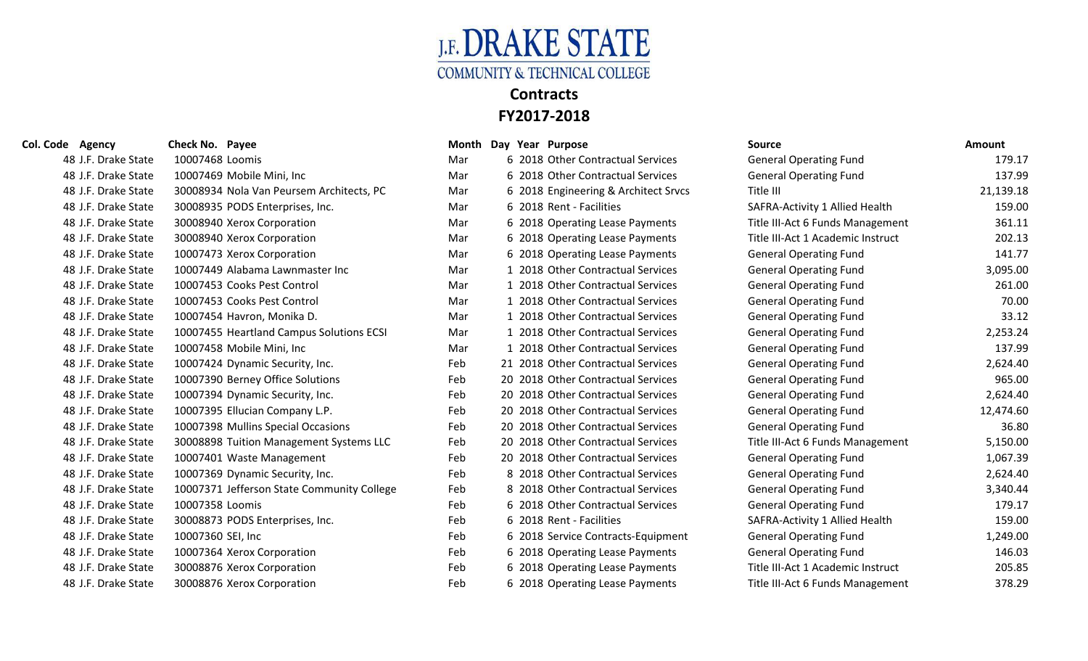

## **Col. Code Agency Check No. Payee Month Day Year Purpose Source Amount** 48 J.F. Drake State 10007468 Loomis Mar Mar 6 2018 Other Contractual Services 48 J.F. Drake State 10007469 Mobile Mini, Inc Mar Mar 6 2018 Other Contractual Services 48 J.F. Drake State 30008934 Nola Van Peursem Architects, PC Mar 6 2018 Engineering & Architect Srv 48 J.F. Drake State 30008935 PODS Enterprises, Inc. Mar 6 2018 Rent - Facilities 48 J.F. Drake State 30008940 Xerox Corporation Mar 6 2018 Operating Lease Payments 48 J.F. Drake State 30008940 Xerox Corporation Mar Mar 6 2018 Operating Lease Payments 48 J.F. Drake State 10007473 Xerox Corporation Mar Mar 6 2018 Operating Lease Payments 48 J.F. Drake State 10007449 Alabama Lawnmaster Inc Mar 1 2018 Other Contractual Services 48 J.F. Drake State 10007453 Cooks Pest Control Mar 1 2018 Other Contractual Services 48 J.F. Drake State 10007453 Cooks Pest Control Mar 1 2018 Other Contractual Services 48 J.F. Drake State 10007454 Havron, Monika D. Mar 1 2018 Other Contractual Services 48 J.F. Drake State 10007455 Heartland Campus Solutions ECSI Mar 1 2018 Other Contractual Services 48 J.F. Drake State 10007458 Mobile Mini, Inc Mar 1 2018 Other Contractual Services 48 J.F. Drake State 10007424 Dynamic Security, Inc. Feb 21 2018 Other Contractual Services 48 J.F. Drake State 10007390 Berney Office Solutions Feb 20 2018 Other Contractual Services 48 J.F. Drake State 10007394 Dynamic Security, Inc. Feb 20 2018 Other Contractual Services 48 J.F. Drake State 10007395 Ellucian Company L.P. Feb 20 2018 Other Contractual Services 48 J.F. Drake State 10007398 Mullins Special Occasions Feb 20 2018 Other Contractual Services 48 J.F. Drake State 30008898 Tuition Management Systems LLC Feb 20 2018 Other Contractual Services 48 J.F. Drake State 10007401 Waste Management Feb 20 2018 Other Contractual Services 48 J.F. Drake State 10007369 Dynamic Security, Inc. Feb 8 2018 Other Contractual Services 48 J.F. Drake State 10007371 Jefferson State Community College Feb 8 2018 Other Contractual Services 48 J.F. Drake State 10007358 Loomis **Feb** 6 2018 Other Contractual Services General Operation of the General Operation of the General Operation of the General Operation of the General Operation of the General Operation of 48 J.F. Drake State 30008873 PODS Enterprises, Inc. Feb 6 2018 Rent - Facilities 48 J.F. Drake State 10007360 SEI, Inc Feb 6 2018 Service Contracts-Equipment General Operation of General Operation of General Operation General Operation General Operation of General Operation General Operation of General 48 J.F. Drake State 10007364 Xerox Corporation Feb 6 2018 Operating Lease Payments 48 J.F. Drake State 30008876 Xerox Corporation Feb 6 2018 Operating Lease Payments

| Agency<br>le        | Check No. Payee                            | Month Day | Year Purpose                         | <b>Source</b>                     | <b>Amount</b> |
|---------------------|--------------------------------------------|-----------|--------------------------------------|-----------------------------------|---------------|
| 48 J.F. Drake State | 10007468 Loomis                            | Mar       | 6 2018 Other Contractual Services    | <b>General Operating Fund</b>     | 179.17        |
| 48 J.F. Drake State | 10007469 Mobile Mini, Inc                  | Mar       | 6 2018 Other Contractual Services    | <b>General Operating Fund</b>     | 137.99        |
| 48 J.F. Drake State | 30008934 Nola Van Peursem Architects, PC   | Mar       | 6 2018 Engineering & Architect Srvcs | Title III                         | 21,139.18     |
| 48 J.F. Drake State | 30008935 PODS Enterprises, Inc.            | Mar       | 6 2018 Rent - Facilities             | SAFRA-Activity 1 Allied Health    | 159.00        |
| 48 J.F. Drake State | 30008940 Xerox Corporation                 | Mar       | 6 2018 Operating Lease Payments      | Title III-Act 6 Funds Management  | 361.11        |
| 48 J.F. Drake State | 30008940 Xerox Corporation                 | Mar       | 6 2018 Operating Lease Payments      | Title III-Act 1 Academic Instruct | 202.13        |
| 48 J.F. Drake State | 10007473 Xerox Corporation                 | Mar       | 6 2018 Operating Lease Payments      | <b>General Operating Fund</b>     | 141.77        |
| 48 J.F. Drake State | 10007449 Alabama Lawnmaster Inc            | Mar       | 1 2018 Other Contractual Services    | <b>General Operating Fund</b>     | 3,095.00      |
| 48 J.F. Drake State | 10007453 Cooks Pest Control                | Mar       | 1 2018 Other Contractual Services    | <b>General Operating Fund</b>     | 261.00        |
| 48 J.F. Drake State | 10007453 Cooks Pest Control                | Mar       | 1 2018 Other Contractual Services    | <b>General Operating Fund</b>     | 70.00         |
| 48 J.F. Drake State | 10007454 Havron, Monika D.                 | Mar       | 1 2018 Other Contractual Services    | <b>General Operating Fund</b>     | 33.12         |
| 48 J.F. Drake State | 10007455 Heartland Campus Solutions ECSI   | Mar       | 1 2018 Other Contractual Services    | <b>General Operating Fund</b>     | 2,253.24      |
| 48 J.F. Drake State | 10007458 Mobile Mini, Inc                  | Mar       | 1 2018 Other Contractual Services    | <b>General Operating Fund</b>     | 137.99        |
| 48 J.F. Drake State | 10007424 Dynamic Security, Inc.            | Feb       | 21 2018 Other Contractual Services   | <b>General Operating Fund</b>     | 2,624.40      |
| 48 J.F. Drake State | 10007390 Berney Office Solutions           | Feb       | 20 2018 Other Contractual Services   | <b>General Operating Fund</b>     | 965.00        |
| 48 J.F. Drake State | 10007394 Dynamic Security, Inc.            | Feb       | 20 2018 Other Contractual Services   | <b>General Operating Fund</b>     | 2,624.40      |
| 48 J.F. Drake State | 10007395 Ellucian Company L.P.             | Feb       | 20 2018 Other Contractual Services   | <b>General Operating Fund</b>     | 12,474.60     |
| 48 J.F. Drake State | 10007398 Mullins Special Occasions         | Feb       | 20 2018 Other Contractual Services   | <b>General Operating Fund</b>     | 36.80         |
| 48 J.F. Drake State | 30008898 Tuition Management Systems LLC    | Feb       | 20 2018 Other Contractual Services   | Title III-Act 6 Funds Management  | 5,150.00      |
| 48 J.F. Drake State | 10007401 Waste Management                  | Feb       | 20 2018 Other Contractual Services   | <b>General Operating Fund</b>     | 1,067.39      |
| 48 J.F. Drake State | 10007369 Dynamic Security, Inc.            | Feb       | 8 2018 Other Contractual Services    | <b>General Operating Fund</b>     | 2,624.40      |
| 48 J.F. Drake State | 10007371 Jefferson State Community College | Feb       | 8 2018 Other Contractual Services    | <b>General Operating Fund</b>     | 3,340.44      |
| 48 J.F. Drake State | 10007358 Loomis                            | Feb       | 6 2018 Other Contractual Services    | <b>General Operating Fund</b>     | 179.17        |
| 48 J.F. Drake State | 30008873 PODS Enterprises, Inc.            | Feb       | 6 2018 Rent - Facilities             | SAFRA-Activity 1 Allied Health    | 159.00        |
| 48 J.F. Drake State | 10007360 SEI, Inc                          | Feb       | 6 2018 Service Contracts-Equipment   | <b>General Operating Fund</b>     | 1,249.00      |
| 48 J.F. Drake State | 10007364 Xerox Corporation                 | Feb       | 6 2018 Operating Lease Payments      | <b>General Operating Fund</b>     | 146.03        |
| 48 J.F. Drake State | 30008876 Xerox Corporation                 | Feb       | 6 2018 Operating Lease Payments      | Title III-Act 1 Academic Instruct | 205.85        |
| 48 J.F. Drake State | 30008876 Xerox Corporation                 | Feb       | 6 2018 Operating Lease Payments      | Title III-Act 6 Funds Management  | 378.29        |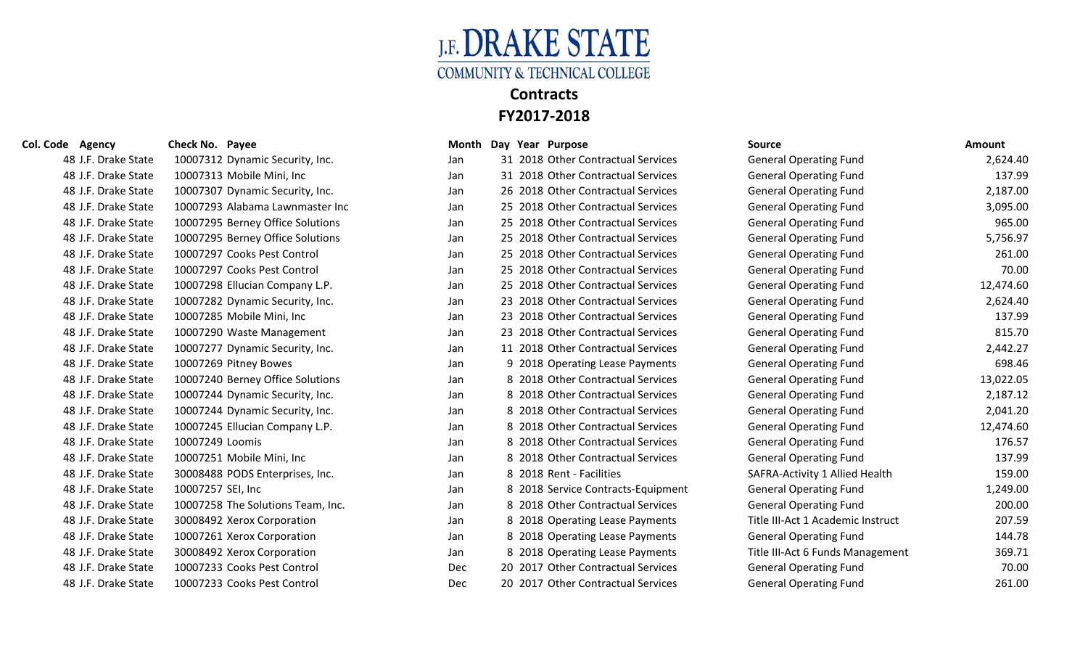

| Col. Code<br>Agency | Check No. Payee                   | Month      | Day Year Purpose                   | <b>Source</b>                     | <b>Amount</b> |
|---------------------|-----------------------------------|------------|------------------------------------|-----------------------------------|---------------|
| 48 J.F. Drake State | 10007312 Dynamic Security, Inc.   | Jan        | 31 2018 Other Contractual Services | <b>General Operating Fund</b>     | 2,624.40      |
| 48 J.F. Drake State | 10007313 Mobile Mini, Inc         | Jan        | 31 2018 Other Contractual Services | <b>General Operating Fund</b>     | 137.99        |
| 48 J.F. Drake State | 10007307 Dynamic Security, Inc.   | Jan        | 26 2018 Other Contractual Services | <b>General Operating Fund</b>     | 2,187.00      |
| 48 J.F. Drake State | 10007293 Alabama Lawnmaster Inc   | Jan        | 25 2018 Other Contractual Services | <b>General Operating Fund</b>     | 3,095.00      |
| 48 J.F. Drake State | 10007295 Berney Office Solutions  | Jan        | 25 2018 Other Contractual Services | <b>General Operating Fund</b>     | 965.00        |
| 48 J.F. Drake State | 10007295 Berney Office Solutions  | Jan        | 25 2018 Other Contractual Services | <b>General Operating Fund</b>     | 5,756.97      |
| 48 J.F. Drake State | 10007297 Cooks Pest Control       | Jan        | 25 2018 Other Contractual Services | <b>General Operating Fund</b>     | 261.00        |
| 48 J.F. Drake State | 10007297 Cooks Pest Control       | Jan        | 25 2018 Other Contractual Services | <b>General Operating Fund</b>     | 70.00         |
| 48 J.F. Drake State | 10007298 Ellucian Company L.P.    | Jan        | 25 2018 Other Contractual Services | <b>General Operating Fund</b>     | 12,474.60     |
| 48 J.F. Drake State | 10007282 Dynamic Security, Inc.   | Jan        | 23 2018 Other Contractual Services | <b>General Operating Fund</b>     | 2,624.40      |
| 48 J.F. Drake State | 10007285 Mobile Mini, Inc         | Jan        | 23 2018 Other Contractual Services | <b>General Operating Fund</b>     | 137.99        |
| 48 J.F. Drake State | 10007290 Waste Management         | Jan        | 23 2018 Other Contractual Services | <b>General Operating Fund</b>     | 815.70        |
| 48 J.F. Drake State | 10007277 Dynamic Security, Inc.   | Jan        | 11 2018 Other Contractual Services | <b>General Operating Fund</b>     | 2,442.27      |
| 48 J.F. Drake State | 10007269 Pitney Bowes             | Jan        | 9 2018 Operating Lease Payments    | <b>General Operating Fund</b>     | 698.46        |
| 48 J.F. Drake State | 10007240 Berney Office Solutions  | Jan        | 8 2018 Other Contractual Services  | <b>General Operating Fund</b>     | 13,022.05     |
| 48 J.F. Drake State | 10007244 Dynamic Security, Inc.   | Jan        | 8 2018 Other Contractual Services  | <b>General Operating Fund</b>     | 2,187.12      |
| 48 J.F. Drake State | 10007244 Dynamic Security, Inc.   | Jan        | 8 2018 Other Contractual Services  | <b>General Operating Fund</b>     | 2,041.20      |
| 48 J.F. Drake State | 10007245 Ellucian Company L.P.    | Jan        | 8 2018 Other Contractual Services  | <b>General Operating Fund</b>     | 12,474.60     |
| 48 J.F. Drake State | 10007249 Loomis                   | Jan        | 8 2018 Other Contractual Services  | <b>General Operating Fund</b>     | 176.57        |
| 48 J.F. Drake State | 10007251 Mobile Mini, Inc         | Jan        | 8 2018 Other Contractual Services  | <b>General Operating Fund</b>     | 137.99        |
| 48 J.F. Drake State | 30008488 PODS Enterprises, Inc.   | Jan        | 8 2018 Rent - Facilities           | SAFRA-Activity 1 Allied Health    | 159.00        |
| 48 J.F. Drake State | 10007257 SEI, Inc                 | Jan        | 8 2018 Service Contracts-Equipment | <b>General Operating Fund</b>     | 1,249.00      |
| 48 J.F. Drake State | 10007258 The Solutions Team, Inc. | Jan        | 8 2018 Other Contractual Services  | <b>General Operating Fund</b>     | 200.00        |
| 48 J.F. Drake State | 30008492 Xerox Corporation        | Jan        | 8 2018 Operating Lease Payments    | Title III-Act 1 Academic Instruct | 207.59        |
| 48 J.F. Drake State | 10007261 Xerox Corporation        | Jan        | 8 2018 Operating Lease Payments    | <b>General Operating Fund</b>     | 144.78        |
| 48 J.F. Drake State | 30008492 Xerox Corporation        | Jan        | 8 2018 Operating Lease Payments    | Title III-Act 6 Funds Management  | 369.71        |
| 48 J.F. Drake State | 10007233 Cooks Pest Control       | Dec        | 20 2017 Other Contractual Services | <b>General Operating Fund</b>     | 70.00         |
| 48 J.F. Drake State | 10007233 Cooks Pest Control       | <b>Dec</b> | 20 2017 Other Contractual Services | <b>General Operating Fund</b>     | 261.00        |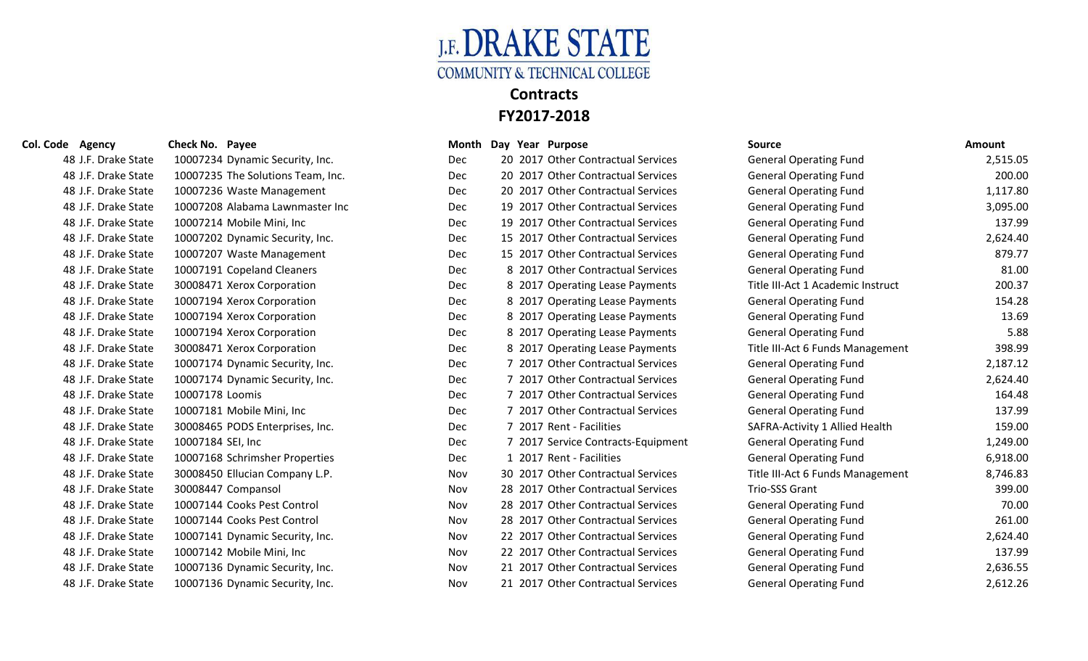

### **Col. Code Agency Check No. Payee Month Day Year Purpose Source Amount** 48 J.F. Drake State 10007234 Dynamic Security, Inc. <br>
Dec 20 2017 Other Contractual Services General Operating Fund 2,515.05 18 Dec 2017 Other Contractual Services General Operating Fund 200.00 Dec 20 2017 Other Contractual Services General Operating Fund 1,117.80 Dec 19 2017 Other Contractual Services General Operating Fund 3,095.00 Dec 19 2017 Other Contractual Services General Operating Fund 137.99 Dec 15 2017 Other Contractual Services General Operation Dec 15 2017 Other Contractual Services General Operation Dec 8 2017 Other Contractual Services General Operation Dec 8 2017 Operating Lease Payments Title Dec 8 2017 Operating Lease Payments General Operating Lease Payments Dec 8 2017 Operating Lease Payments General Operating Lease Payments Dec 8 2017 Operating Lease Payments General Operation Dec Dec 8 2017 Operating Lease Payments Title Dec 31 2017 Other Contractual Services General Operation 48 J.F. Drake State 10007174 Dynamic Security, Inc. The Connect Contractual Services Contractual Services And Seneral Operating Fund 2,624.40 48 J.F. Drake State 10007178 Loomis 164.48 (1990) Dec 7 2017 Other Contractual Services General Operating Fund 164.48 48 J.F. Drake State 10007181 Mobile Mini, Inc 137.99 Chec 7 2017 Other Contractual Services General Operating Fund 137.99 48 J.F. Drake State 30008465 PODS Enterprises, Inc. The Commence of 2017 Rent - Facilities SAFRA-Activity 1 Allied Health 159.00 48 J.F. Drake State 10007184 SEI, Inc **Christian State State Contracts-Equipment** General Operating Fund 1,249.00

| ec) |  | 7 2017 Other Contractual Services     |
|-----|--|---------------------------------------|
| ec) |  | 7 2017 Other Contractual Services     |
| ec) |  | 7 2017 Other Contractual Services     |
| ec) |  | 7 2017 Rent - Facilities              |
| ec) |  | 7 2017 Service Contracts-Equipmen     |
| ec) |  | 1 2017 Rent - Facilities              |
| lov |  | 30 2017 Other Contractual Services    |
| lov |  | 28 2017 Other Contractual Services    |
| lov |  | 28 2017 Other Contractual Services    |
| lov |  | 28 2017 Other Contractual Services    |
| lov |  | 22 2017 Other Contractual Services    |
| lov |  | 22 2017 Other Contractual Services    |
| lov |  | 21 - 2017. Other Contractual Services |

| 40 J.F. DIANE SIALE | TOUD I ZOA DYNAMIC SECUTILY, MIC. | レヒし        | 20 2017 Other Contractual Services | General Operating Fund            | נטינדר'ז |
|---------------------|-----------------------------------|------------|------------------------------------|-----------------------------------|----------|
| 48 J.F. Drake State | 10007235 The Solutions Team, Inc. | <b>Dec</b> | 20 2017 Other Contractual Services | <b>General Operating Fund</b>     | 200.00   |
| 48 J.F. Drake State | 10007236 Waste Management         | <b>Dec</b> | 20 2017 Other Contractual Services | <b>General Operating Fund</b>     | 1,117.80 |
| 48 J.F. Drake State | 10007208 Alabama Lawnmaster Inc   | <b>Dec</b> | 19 2017 Other Contractual Services | <b>General Operating Fund</b>     | 3,095.00 |
| 48 J.F. Drake State | 10007214 Mobile Mini, Inc         | Dec        | 19 2017 Other Contractual Services | <b>General Operating Fund</b>     | 137.99   |
| 48 J.F. Drake State | 10007202 Dynamic Security, Inc.   | Dec        | 15 2017 Other Contractual Services | <b>General Operating Fund</b>     | 2,624.40 |
| 48 J.F. Drake State | 10007207 Waste Management         | Dec        | 15 2017 Other Contractual Services | <b>General Operating Fund</b>     | 879.77   |
| 48 J.F. Drake State | 10007191 Copeland Cleaners        | Dec        | 8 2017 Other Contractual Services  | <b>General Operating Fund</b>     | 81.00    |
| 48 J.F. Drake State | 30008471 Xerox Corporation        | Dec        | 8 2017 Operating Lease Payments    | Title III-Act 1 Academic Instruct | 200.37   |
| 48 J.F. Drake State | 10007194 Xerox Corporation        | Dec        | 8 2017 Operating Lease Payments    | <b>General Operating Fund</b>     | 154.28   |
| 48 J.F. Drake State | 10007194 Xerox Corporation        | Dec        | 8 2017 Operating Lease Payments    | <b>General Operating Fund</b>     | 13.69    |
| 48 J.F. Drake State | 10007194 Xerox Corporation        | Dec        | 8 2017 Operating Lease Payments    | <b>General Operating Fund</b>     | 5.88     |
| 48 J.F. Drake State | 30008471 Xerox Corporation        | Dec        | 8 2017 Operating Lease Payments    | Title III-Act 6 Funds Management  | 398.99   |
| 48 J.F. Drake State | 10007174 Dynamic Security, Inc.   | <b>Dec</b> | 7 2017 Other Contractual Services  | <b>General Operating Fund</b>     | 2,187.12 |
| 48 J.F. Drake State | 10007174 Dynamic Security, Inc.   | Dec        | 7 2017 Other Contractual Services  | <b>General Operating Fund</b>     | 2,624.40 |
| 48 J.F. Drake State | 10007178 Loomis                   | Dec        | 7 2017 Other Contractual Services  | <b>General Operating Fund</b>     | 164.48   |
| 48 J.F. Drake State | 10007181 Mobile Mini, Inc         | <b>Dec</b> | 7 2017 Other Contractual Services  | <b>General Operating Fund</b>     | 137.99   |
| 48 J.F. Drake State | 30008465 PODS Enterprises, Inc.   | Dec        | 7 2017 Rent - Facilities           | SAFRA-Activity 1 Allied Health    | 159.00   |
| 48 J.F. Drake State | 10007184 SEI, Inc                 | <b>Dec</b> | 7 2017 Service Contracts-Equipment | <b>General Operating Fund</b>     | 1,249.00 |
| 48 J.F. Drake State | 10007168 Schrimsher Properties    | <b>Dec</b> | 1 2017 Rent - Facilities           | <b>General Operating Fund</b>     | 6,918.00 |
| 48 J.F. Drake State | 30008450 Ellucian Company L.P.    | Nov        | 30 2017 Other Contractual Services | Title III-Act 6 Funds Management  | 8,746.83 |
| 48 J.F. Drake State | 30008447 Compansol                | Nov        | 28 2017 Other Contractual Services | <b>Trio-SSS Grant</b>             | 399.00   |
| 48 J.F. Drake State | 10007144 Cooks Pest Control       | Nov        | 28 2017 Other Contractual Services | <b>General Operating Fund</b>     | 70.00    |
| 48 J.F. Drake State | 10007144 Cooks Pest Control       | Nov        | 28 2017 Other Contractual Services | <b>General Operating Fund</b>     | 261.00   |
| 48 J.F. Drake State | 10007141 Dynamic Security, Inc.   | Nov        | 22 2017 Other Contractual Services | <b>General Operating Fund</b>     | 2,624.40 |
| 48 J.F. Drake State | 10007142 Mobile Mini, Inc         | Nov        | 22 2017 Other Contractual Services | <b>General Operating Fund</b>     | 137.99   |
| 48 J.F. Drake State | 10007136 Dynamic Security, Inc.   | Nov        | 21 2017 Other Contractual Services | <b>General Operating Fund</b>     | 2,636.55 |
| 48 J.F. Drake State | 10007136 Dynamic Security, Inc.   | Nov        | 21 2017 Other Contractual Services | <b>General Operating Fund</b>     | 2,612.26 |
|                     |                                   |            |                                    |                                   |          |

| cial Opciating Lunu         | 151.JJ   |
|-----------------------------|----------|
| eral Operating Fund         | 2,624.40 |
| eral Operating Fund         | 879.77   |
| eral Operating Fund         | 81.00    |
| III-Act 1 Academic Instruct | 200.37   |
| eral Operating Fund         | 154.28   |
| eral Operating Fund         | 13.69    |
| eral Operating Fund         | 5.88     |
| III-Act 6 Funds Management  | 398.99   |
| eral Operating Fund         | 2,187.12 |
| eral Operating Fund         | 2,624.40 |
| eral Operating Fund         | 164.48   |
| eral Operating Fund         | 137.99   |
| RA-Activity 1 Allied Health | 159.00   |
| eral Operating Fund         | 1,249.00 |
| eral Operating Fund         | 6,918.00 |
| III-Act 6 Funds Management  | 8,746.83 |
| -SSS Grant                  | 399.00   |
| eral Operating Fund         | 70.00    |
| eral Operating Fund         | 261.00   |
| eral Operating Fund         | 2,624.40 |
| eral Operating Fund         | 137.99   |
| eral Operating Fund         | 2,636.55 |
| eral Operating Fund         | 2,612.26 |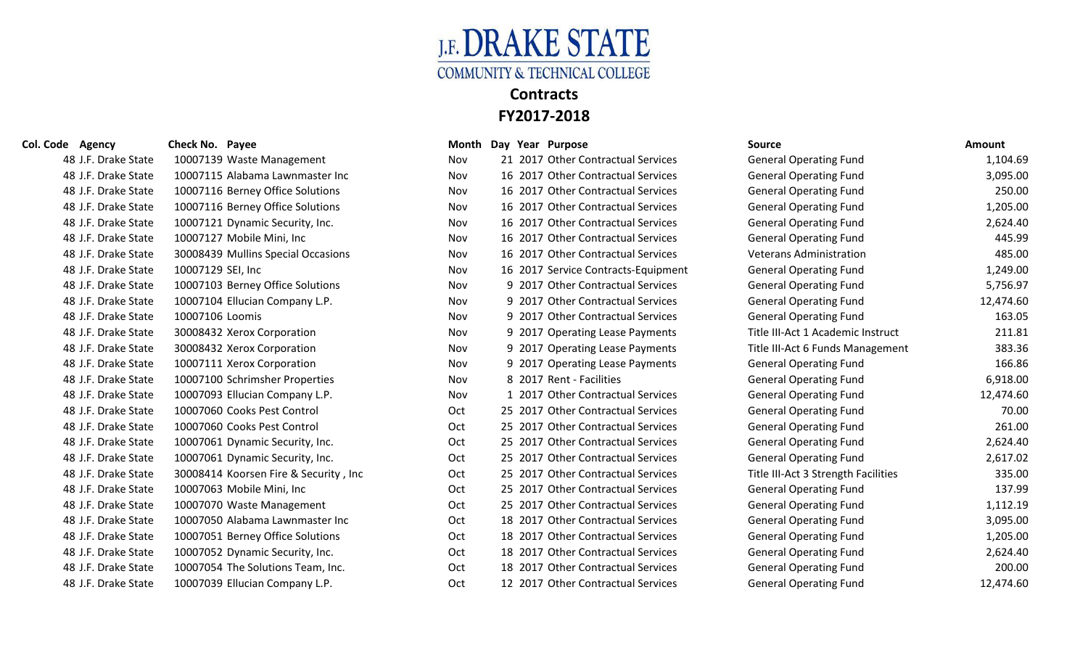

| e Agency            | Check No. Payee                       |            | Month Day Year Purpose |                                     | <b>Source</b>                       | Amount    |
|---------------------|---------------------------------------|------------|------------------------|-------------------------------------|-------------------------------------|-----------|
| 48 J.F. Drake State | 10007139 Waste Management             | Nov        |                        | 21 2017 Other Contractual Services  | <b>General Operating Fund</b>       | 1,104.69  |
| 48 J.F. Drake State | 10007115 Alabama Lawnmaster Inc       | Nov        |                        | 16 2017 Other Contractual Services  | <b>General Operating Fund</b>       | 3,095.00  |
| 48 J.F. Drake State | 10007116 Berney Office Solutions      | Nov        |                        | 16 2017 Other Contractual Services  | <b>General Operating Fund</b>       | 250.00    |
| 48 J.F. Drake State | 10007116 Berney Office Solutions      | Nov        |                        | 16 2017 Other Contractual Services  | <b>General Operating Fund</b>       | 1,205.00  |
| 48 J.F. Drake State | 10007121 Dynamic Security, Inc.       | Nov        |                        | 16 2017 Other Contractual Services  | <b>General Operating Fund</b>       | 2,624.40  |
| 48 J.F. Drake State | 10007127 Mobile Mini, Inc             | Nov        |                        | 16 2017 Other Contractual Services  | <b>General Operating Fund</b>       | 445.99    |
| 48 J.F. Drake State | 30008439 Mullins Special Occasions    | Nov        |                        | 16 2017 Other Contractual Services  | <b>Veterans Administration</b>      | 485.00    |
| 48 J.F. Drake State | 10007129 SEI, Inc                     | Nov.       |                        | 16 2017 Service Contracts-Equipment | <b>General Operating Fund</b>       | 1,249.00  |
| 48 J.F. Drake State | 10007103 Berney Office Solutions      | <b>Nov</b> |                        | 9 2017 Other Contractual Services   | <b>General Operating Fund</b>       | 5,756.97  |
| 48 J.F. Drake State | 10007104 Ellucian Company L.P.        | Nov        |                        | 9 2017 Other Contractual Services   | <b>General Operating Fund</b>       | 12,474.60 |
| 48 J.F. Drake State | 10007106 Loomis                       | Nov        |                        | 9 2017 Other Contractual Services   | <b>General Operating Fund</b>       | 163.05    |
| 48 J.F. Drake State | 30008432 Xerox Corporation            | Nov        |                        | 9 2017 Operating Lease Payments     | Title III-Act 1 Academic Instruct   | 211.81    |
| 48 J.F. Drake State | 30008432 Xerox Corporation            | Nov        |                        | 9 2017 Operating Lease Payments     | Title III-Act 6 Funds Management    | 383.36    |
| 48 J.F. Drake State | 10007111 Xerox Corporation            | Nov        |                        | 9 2017 Operating Lease Payments     | <b>General Operating Fund</b>       | 166.86    |
| 48 J.F. Drake State | 10007100 Schrimsher Properties        | Nov        |                        | 8 2017 Rent - Facilities            | <b>General Operating Fund</b>       | 6,918.00  |
| 48 J.F. Drake State | 10007093 Ellucian Company L.P.        | Nov        |                        | 1 2017 Other Contractual Services   | <b>General Operating Fund</b>       | 12,474.60 |
| 48 J.F. Drake State | 10007060 Cooks Pest Control           | Oct        |                        | 25 2017 Other Contractual Services  | <b>General Operating Fund</b>       | 70.00     |
| 48 J.F. Drake State | 10007060 Cooks Pest Control           | Oct        |                        | 25 2017 Other Contractual Services  | <b>General Operating Fund</b>       | 261.00    |
| 48 J.F. Drake State | 10007061 Dynamic Security, Inc.       | Oct        |                        | 25 2017 Other Contractual Services  | <b>General Operating Fund</b>       | 2,624.40  |
| 48 J.F. Drake State | 10007061 Dynamic Security, Inc.       | Oct        |                        | 25 2017 Other Contractual Services  | <b>General Operating Fund</b>       | 2,617.02  |
| 48 J.F. Drake State | 30008414 Koorsen Fire & Security, Inc | Oct.       |                        | 25 2017 Other Contractual Services  | Title III-Act 3 Strength Facilities | 335.00    |
| 48 J.F. Drake State | 10007063 Mobile Mini, Inc             | Oct        |                        | 25 2017 Other Contractual Services  | <b>General Operating Fund</b>       | 137.99    |
| 48 J.F. Drake State | 10007070 Waste Management             | Oct        |                        | 25 2017 Other Contractual Services  | <b>General Operating Fund</b>       | 1,112.19  |
| 48 J.F. Drake State | 10007050 Alabama Lawnmaster Inc       | Oct        |                        | 18 2017 Other Contractual Services  | <b>General Operating Fund</b>       | 3,095.00  |
| 48 J.F. Drake State | 10007051 Berney Office Solutions      | Oct        |                        | 18 2017 Other Contractual Services  | <b>General Operating Fund</b>       | 1,205.00  |
| 48 J.F. Drake State | 10007052 Dynamic Security, Inc.       | Oct        |                        | 18 2017 Other Contractual Services  | <b>General Operating Fund</b>       | 2,624.40  |
| 48 J.F. Drake State | 10007054 The Solutions Team, Inc.     | Oct        |                        | 18 2017 Other Contractual Services  | <b>General Operating Fund</b>       | 200.00    |
| 48 J.F. Drake State | 10007039 Ellucian Company L.P.        | Oct        |                        | 12 2017 Other Contractual Services  | <b>General Operating Fund</b>       | 12,474.60 |

## **Col. Code Agency Check No. Payee Col. Code Agency Col. Code Agency Check No. Payee Source Source Source COL**

| 48 J.F. Drake State |                   | 10007139 Waste Management            |
|---------------------|-------------------|--------------------------------------|
| 48 J.F. Drake State |                   | 10007115 Alabama Lawnmaster Inc      |
| 48 J.F. Drake State |                   | 10007116 Berney Office Solutions     |
| 48 J.F. Drake State |                   | 10007116 Berney Office Solutions     |
| 48 J.F. Drake State |                   | 10007121 Dynamic Security, Inc.      |
| 48 J.F. Drake State |                   | 10007127 Mobile Mini, Inc            |
| 48 J.F. Drake State |                   | 30008439 Mullins Special Occasions   |
| 48 J.F. Drake State | 10007129 SEI, Inc |                                      |
| 48 J.F. Drake State |                   | 10007103 Berney Office Solutions     |
| 48 J.F. Drake State |                   | 10007104 Ellucian Company L.P.       |
| 48 J.F. Drake State | 10007106 Loomis   |                                      |
| 48 J.F. Drake State |                   | 30008432 Xerox Corporation           |
| 48 J.F. Drake State |                   | 30008432 Xerox Corporation           |
| 48 J.F. Drake State |                   | 10007111 Xerox Corporation           |
| 48 J.F. Drake State |                   | 10007100 Schrimsher Properties       |
| 48 J.F. Drake State |                   | 10007093 Ellucian Company L.P.       |
| 48 J.F. Drake State |                   | 10007060 Cooks Pest Control          |
| 48 J.F. Drake State |                   | 10007060 Cooks Pest Control          |
| 48 J.F. Drake State |                   | 10007061 Dynamic Security, Inc.      |
| 48 J.F. Drake State |                   | 10007061 Dynamic Security, Inc.      |
| 48 J.F. Drake State |                   | 30008414 Koorsen Fire & Security, In |
| 48 J.F. Drake State |                   | 10007063 Mobile Mini, Inc            |
| 48 J.F. Drake State |                   | 10007070 Waste Management            |
| 48 J.F. Drake State |                   | 10007050 Alabama Lawnmaster Inc      |
| 48 J.F. Drake State |                   | 10007051 Berney Office Solutions     |
| 48 J.F. Drake State |                   | 10007052 Dynamic Security, Inc.      |
| 48 J.F. Drake State |                   | 10007054 The Solutions Team, Inc.    |
| 48 J.F. Drake State |                   | 10007039 Ellucian Company L.P.       |
|                     |                   |                                      |